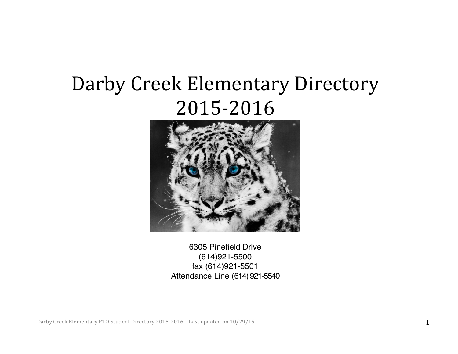# Darby Creek Elementary Directory 2015-2016



6305 Pinefield Drive (614)921-5500 fax (614)921-5501 Attendance Line (614) 921-5540

Darby Creek Elementary PTO Student Directory 2015-2016 – Last updated on 10/29/15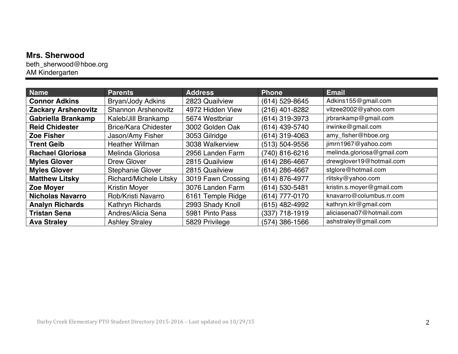#### **Mrs. Sherwood**

beth\_sherwood@hboe.org AM Kindergarten

| <b>Name</b>                | <b>Parents</b>                | <b>Address</b>     | <b>Phone</b>   | <b>Email</b>               |
|----------------------------|-------------------------------|--------------------|----------------|----------------------------|
| <b>Connor Adkins</b>       | <b>Bryan/Jody Adkins</b>      | 2823 Quailview     | (614) 529-8645 | Adkins155@gmail.com        |
| <b>Zackary Arshenovitz</b> | <b>Shannon Arshenovitz</b>    | 4972 Hidden View   | (216) 401-8282 | vitzee2002@yahoo.com       |
| <b>Gabriella Brankamp</b>  | Kaleb/Jill Brankamp           | 5674 Westbriar     | (614) 319-3973 | jrbrankamp@gmail.com       |
| <b>Reid Chidester</b>      | <b>Brice/Kara Chidester</b>   | 3002 Golden Oak    | (614) 439-5740 | irwinke@gmail.com          |
| <b>Zoe Fisher</b>          | Jason/Amy Fisher              | 3053 Gilridge      | (614) 319-4063 | amy_fisher@hboe.org        |
| <b>Trent Geib</b>          | <b>Heather Willman</b>        | 3038 Walkerview    | (513) 504-9556 | jimrn1967@yahoo.com        |
| <b>Rachael Gloriosa</b>    | Melinda Gloriosa              | 2956 Landen Farm   | (740) 816-6216 | melinda.gloriosa@gmail.com |
| <b>Myles Glover</b>        | Drew Glover                   | 2815 Quailview     | (614) 286-4667 | drewglover19@hotmail.com   |
| <b>Myles Glover</b>        | <b>Stephanie Glover</b>       | 2815 Quailview     | (614) 286-4667 | stglore@hotmail.com        |
| <b>Matthew Litsky</b>      | <b>Richard/Michele Litsky</b> | 3019 Fawn Crossing | (614) 876-4977 | rlitsky@yahoo.com          |
| <b>Zoe Moyer</b>           | <b>Kristin Moyer</b>          | 3076 Landen Farm   | (614) 530-5481 | kristin.s.moyer@gmail.com  |
| <b>Nicholas Navarro</b>    | Rob/Kristi Navarro            | 6161 Temple Ridge  | (614) 777-0170 | knavarro@columbus.rr.com   |
| <b>Analyn Richards</b>     | Kathryn Richards              | 2993 Shady Knoll   | (615) 482-4992 | kathryn.klr@gmail.com      |
| <b>Tristan Sena</b>        | Andres/Alicia Sena            | 5981 Pinto Pass    | (337) 718-1919 | aliciasena07@hotmail.com   |
| <b>Ava Straley</b>         | <b>Ashley Straley</b>         | 5829 Privilege     | (574) 386-1566 | ashstraley@gmail.com       |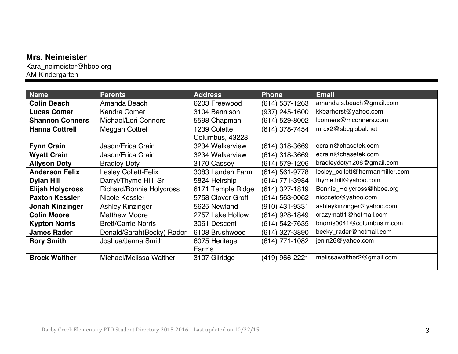#### **Mrs. Neimeister**

Kara\_neimeister@hboe.org AM Kindergarten

| <b>Name</b>             | <b>Parents</b>                  | <b>Address</b>    | <b>Phone</b>       | <b>Email</b>                    |
|-------------------------|---------------------------------|-------------------|--------------------|---------------------------------|
| <b>Colin Beach</b>      | Amanda Beach                    | 6203 Freewood     | $(614)$ 537-1263   | amanda.s.beach@gmail.com        |
| <b>Lucas Comer</b>      | Kendra Comer                    | 3104 Bennison     | (937) 245-1600     | kkbarhorst@yahoo.com            |
| <b>Shannon Conners</b>  | Michael/Lori Conners            | 5598 Chapman      | (614) 529-8002     | lconners@mconners.com           |
| <b>Hanna Cottrell</b>   | Meggan Cottrell                 | 1239 Colette      | (614) 378-7454     | mrcx2@sbcglobal.net             |
|                         |                                 | Columbus, 43228   |                    |                                 |
| <b>Fynn Crain</b>       | Jason/Erica Crain               | 3234 Walkerview   | (614) 318-3669     | ecrain@chasetek.com             |
| <b>Wyatt Crain</b>      | Jason/Erica Crain               | 3234 Walkerview   | (614) 318-3669     | ecrain@chasetek.com             |
| <b>Allyson Doty</b>     | <b>Bradley Doty</b>             | 3170 Cassey       | (614) 579-1206     | bradleydoty1206@gmail.com       |
| <b>Anderson Felix</b>   | Lesley Collett-Felix            | 3083 Landen Farm  | (614) 561-9778     | lesley_collett@hermanmiller.com |
| <b>Dylan Hill</b>       | Darryl/Thyme Hill, Sr           | 5824 Heirship     | (614) 771-3984     | thyme.hill@yahoo.com            |
| <b>Elijah Holycross</b> | <b>Richard/Bonnie Holycross</b> | 6171 Temple Ridge | $(614)$ 327-1819   | Bonnie_Holycross@hboe.org       |
| <b>Paxton Kessler</b>   | Nicole Kessler                  | 5758 Clover Groff | $(614) 563 - 0062$ | nicoceto@yahoo.com              |
| <b>Jonah Kinzinger</b>  | <b>Ashley Kinzinger</b>         | 5625 Newland      | (910) 431-9331     | ashleykinzinger@yahoo.com       |
| <b>Colin Moore</b>      | <b>Matthew Moore</b>            | 2757 Lake Hollow  | (614) 928-1849     | crazymatt1@hotmail.com          |
| <b>Kypton Norris</b>    | <b>Brett/Carrie Norris</b>      | 3061 Descent      | (614) 542-7635     | bnorris0041@columbus.rr.com     |
| <b>James Rader</b>      | Donald/Sarah(Becky) Rader       | 6108 Brushwood    | (614) 327-3890     | becky_rader@hotmail.com         |
| <b>Rory Smith</b>       | Joshua/Jenna Smith              | 6075 Heritage     | $(614)$ 771-1082   | jenln26@yahoo.com               |
|                         |                                 | Farms             |                    |                                 |
| <b>Brock Walther</b>    | Michael/Melissa Walther         | 3107 Gilridge     | (419) 966-2221     | melissawalther2@gmail.com       |
|                         |                                 |                   |                    |                                 |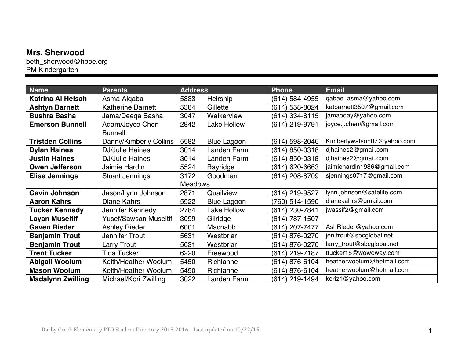#### **Mrs. Sherwood**

beth\_sherwood@hboe.org PM Kindergarten

| <b>Name</b>              | <b>Parents</b>               | <b>Address</b> |                    | <b>Phone</b>   | <b>Email</b>               |
|--------------------------|------------------------------|----------------|--------------------|----------------|----------------------------|
| <b>Katrina Al Heisah</b> | Asma Algaba                  | 5833           | Heirship           | (614) 584-4955 | qabae_asma@yahoo.com       |
| <b>Ashtyn Barnett</b>    | <b>Katherine Barnett</b>     | 5384           | Gillette           | (614) 558-8024 | katbarnett3507@gmail.com   |
| <b>Bushra Basha</b>      | Jama/Deeqa Basha             | 3047           | Walkerview         | (614) 334-8115 | jamaoday@yahoo.com         |
| <b>Emerson Bunnell</b>   | Adam/Joyce Chen              | 2842           | <b>Lake Hollow</b> | (614) 219-9791 | joyce.j.chen@gmail.com     |
|                          | <b>Bunnell</b>               |                |                    |                |                            |
| <b>Tristden Collins</b>  | Danny/Kimberly Collins       | 5582           | <b>Blue Lagoon</b> | (614) 598-2046 | Kimberlywatson07@yahoo.com |
| <b>Dylan Haines</b>      | <b>DJ/Julie Haines</b>       | 3014           | Landen Farm        | (614) 850-0318 | djhaines2@gmail.com        |
| <b>Justin Haines</b>     | <b>DJ/Julie Haines</b>       | 3014           | Landen Farm        | (614) 850-0318 | djhaines2@gmail.com        |
| <b>Owen Jefferson</b>    | Jaimie Hardin                | 5524           | <b>Bayridge</b>    | (614) 620-6663 | jaimiehardin1986@gmail.com |
| <b>Elise Jennings</b>    | <b>Stuart Jennings</b>       | 3172           | Goodman            | (614) 208-8709 | sjennings0717@gmail.com    |
|                          |                              | <b>Meadows</b> |                    |                |                            |
| <b>Gavin Johnson</b>     | Jason/Lynn Johnson           | 2871           | Quailview          | (614) 219-9527 | lynn.johnson@safelite.com  |
| <b>Aaron Kahrs</b>       | Diane Kahrs                  | 5522           | <b>Blue Lagoon</b> | (760) 514-1590 | dianekahrs@gmail.com       |
| <b>Tucker Kennedy</b>    | Jennifer Kennedy             | 2784           | Lake Hollow        | (614) 230-7841 | jwassif2@gmail.com         |
| Layan Museitif           | <b>Yusef/Sawsan Museitif</b> | 3099           | Gilridge           | (614) 787-1507 |                            |
| <b>Gaven Rieder</b>      | <b>Ashley Rieder</b>         | 6001           | Macnabb            | (614) 207-7477 | AshRieder@yahoo.com        |
| <b>Benjamin Trout</b>    | Jennifer Trout               | 5631           | Westbriar          | (614) 876-0270 | jen.trout@sbcglobal.net    |
| <b>Benjamin Trout</b>    | Larry Trout                  | 5631           | Westbriar          | (614) 876-0270 | larry_trout@sbcglobal.net  |
| <b>Trent Tucker</b>      | <b>Tina Tucker</b>           | 6220           | Freewood           | (614) 219-7187 | ttucker15@wowoway.com      |
| <b>Abigail Woolum</b>    | Keith/Heather Woolum         | 5450           | Richlanne          | (614) 876-6104 | heatherwoolum@hotmail.com  |
| <b>Mason Woolum</b>      | Keith/Heather Woolum         | 5450           | Richlanne          | (614) 876-6104 | heatherwoolum@hotmail.com  |
| <b>Madalynn Zwilling</b> | Michael/Kori Zwilling        | 3022           | Landen Farm        | (614) 219-1494 | koriz1@yahoo.com           |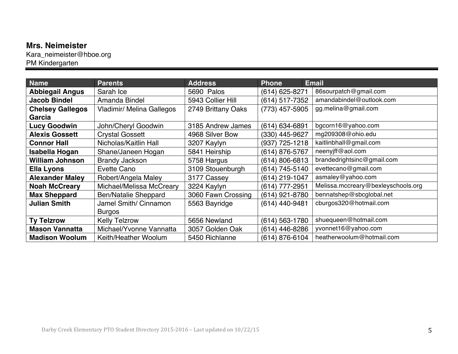#### **Mrs. Neimeister**

Kara\_neimeister@hboe.org PM Kindergarten

| Name                    | <b>Parents</b>                   | <b>Address</b>     | <b>Phone</b>      | <b>Email</b>                       |
|-------------------------|----------------------------------|--------------------|-------------------|------------------------------------|
| <b>Abbiegail Angus</b>  | Sarah Ice                        | 5690 Palos         | (614) 625-8271    | 86sourpatch@gmail.com              |
| <b>Jacob Bindel</b>     | Amanda Bindel                    | 5943 Collier Hill  | (614) 517-7352    | amandabindel@outlook.com           |
| <b>Chelsey Gallegos</b> | <b>Vladimir/ Melina Gallegos</b> | 2749 Brittany Oaks | $(773)$ 457-5905  | gg.melina@gmail.com                |
| Garcia                  |                                  |                    |                   |                                    |
| <b>Lucy Goodwin</b>     | John/Cheryl Goodwin              | 3185 Andrew James  | (614) 634-6891    | bgcorn16@yahoo.com                 |
| <b>Alexis Gossett</b>   | <b>Crystal Gossett</b>           | 4968 Silver Bow    | (330) 445-9627    | mg209308@ohio.edu                  |
| <b>Connor Hall</b>      | Nicholas/Kaitlin Hall            | 3207 Kaylyn        | $(937)$ 725-1218  | kaitlinbhall@gmail.com             |
| Isabella Hogan          | Shane/Janeen Hogan               | 5841 Heirship      | (614) 876-5767    | neenyjff@aol.com                   |
| <b>William Johnson</b>  | <b>Brandy Jackson</b>            | 5758 Hargus        | (614) 806-6813    | brandedrightsinc@gmail.com         |
| <b>Ella Lyons</b>       | Evette Cano                      | 3109 Stouenburgh   | (614) 745-5140    | evettecano@gmail.com               |
| <b>Alexander Maley</b>  | Robert/Angela Maley              | 3177 Cassey        | (614) 219-1047    | asmaley@yahoo.com                  |
| <b>Noah McCreary</b>    | Michael/Melissa McCreary         | 3224 Kaylyn        | (614) 777-2951    | Melissa.mccreary@bexleyschools.org |
| <b>Max Sheppard</b>     | <b>Ben/Natalie Sheppard</b>      | 3060 Fawn Crossing | (614) 921-8780    | bennatshep@sbcglobal.net           |
| <b>Julian Smith</b>     | Jamel Smith/ Cinnamon            | 5563 Bayridge      | $(614)$ 440-9481  | cburgos320@hotmail.com             |
|                         | <b>Burgos</b>                    |                    |                   |                                    |
| <b>Ty Telzrow</b>       | <b>Kelly Telzrow</b>             | 5656 Newland       | 563-1780<br>(614) | shuequeen@hotmail.com              |
| <b>Mason Vannatta</b>   | Michael/Yvonne Vannatta          | 3057 Golden Oak    | (614) 446-8286    | yvonnet16@yahoo.com                |
| <b>Madison Woolum</b>   | Keith/Heather Woolum             | 5450 Richlanne     | (614) 876-6104    | heatherwoolum@hotmail.com          |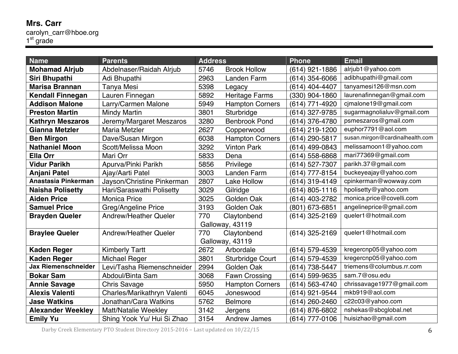#### **Mrs. Carr** carolyn\_carr@hboe.org 1<sup>st</sup> grade

| <b>Name</b>                | <b>Parents</b>               | <b>Address</b> |                         | <b>Phone</b>   | <b>Email</b>                    |
|----------------------------|------------------------------|----------------|-------------------------|----------------|---------------------------------|
| <b>Mohamad Alrjub</b>      | Abdelnaser/Raidah Alrjub     | 5746           | <b>Brook Hollow</b>     | (614) 921-1886 | alrjub1@yahoo.com               |
| Siri Bhupathi              | Adi Bhupathi                 | 2963           | Landen Farm             | (614) 354-6066 | adibhupathi@gmail.com           |
| <b>Marisa Brannan</b>      | Tanya Mesi                   | 5398           | Legacy                  | (614) 404-4407 | tanyamesi126@msn.com            |
| <b>Kendall Finnegan</b>    | Lauren Finnegan              | 5892           | <b>Heritage Farms</b>   | (330) 904-1860 | laurenafinnegan@gmail.com       |
| <b>Addison Malone</b>      | Larry/Carmen Malone          | 5949           | <b>Hampton Corners</b>  | (614) 771-4920 | cjmalone19@gmail.com            |
| <b>Preston Martin</b>      | <b>Mindy Martin</b>          | 3801           | Sturbridge              | (614) 327-9785 | sugarmagnolialuv@gmail.com      |
| <b>Kathryn Meszaros</b>    | Jeremy/Margaret Meszaros     | 3280           | <b>Benbrook Pond</b>    | (614) 376-4780 | psmeszaros@gmail.com            |
| <b>Gianna Metzler</b>      | <b>Maria Metzler</b>         | 2627           | Copperwood              | (614) 219-1200 | euphor7791@aol.com              |
| <b>Ben Mirgon</b>          | Dave/Susan Mirgon            | 6038           | <b>Hampton Corners</b>  | (614) 290-5817 | susan.mirgon@cardinalhealth.com |
| <b>Nathaniel Moon</b>      | Scott/Melissa Moon           | 3292           | <b>Vinton Park</b>      | (614) 499-0843 | melissamoon1@yahoo.com          |
| <b>Ella Orr</b>            | Mari Orr                     | 5833           | Dena                    | (614) 558-6868 | mari77369@gmail.com             |
| <b>Vidur Parikh</b>        | Apurva/Pinki Parikh          | 5856           | Privilege               | (614) 527-7307 | parikh.37@gmail.com             |
| <b>Anjani Patel</b>        | Ajay/Aarti Patel             | 3003           | <b>Landen Farm</b>      | (614) 777-8154 | buckeyeajay@yahoo.com           |
| Anastasia Pinkerman        | Jayson/Christine Pinkerman   | 2807           | Lake Hollow             | (614) 319-4149 | cpinkerman@wowway.com           |
| <b>Naisha Polisetty</b>    | Hari/Saraswathi Polisetty    | 3029           | Gilridge                | (614) 805-1116 | hpolisetty@yahoo.com            |
| <b>Aiden Price</b>         | <b>Monica Price</b>          | 3025           | Golden Oak              | (614) 403-2782 | monica.price@covelli.com        |
| <b>Samuel Price</b>        | Greg/Angeline Price          | 3193           | Golden Oak              | (801) 673-6851 | angelineprice@gmail.com         |
| <b>Brayden Queler</b>      | <b>Andrew/Heather Queler</b> | 770            | Claytonbend             | (614) 325-2169 | queler1@hotmail.com             |
|                            |                              |                | Galloway, 43119         |                |                                 |
| <b>Braylee Queler</b>      | Andrew/Heather Queler        | 770            | Claytonbend             | (614) 325-2169 | queler1@hotmail.com             |
|                            |                              |                | Galloway, 43119         |                |                                 |
| <b>Kaden Reger</b>         | <b>Kimberly Tartt</b>        | 2672           | Arbordale               | (614) 579-4539 | kregercnp05@yahoo.com           |
| <b>Kaden Reger</b>         | Michael Reger                | 3801           | <b>Sturbridge Court</b> | (614) 579-4539 | kregercnp05@yahoo.com           |
| <b>Jax Riemenschneider</b> | Levi/Tasha Riemenschneider   | 2994           | Golden Oak              | (614) 738-5447 | triemens@columbus.rr.com        |
| <b>Bokar Sam</b>           | Abdoul/Binta Sam             | 3068           | <b>Fawn Crossing</b>    | (614) 599-9635 | sam.7@osu.edu                   |
| <b>Annie Savage</b>        | <b>Chris Savage</b>          | 5950           | <b>Hampton Corners</b>  | (614) 563-4740 | chrissavage1977@gmail.com       |
| <b>Alexis Valenti</b>      | Charles/Marikathryn Valenti  | 6045           | Joneswood               | (614) 921-9544 | mkb919@aol.com                  |
| <b>Jase Watkins</b>        | Jonathan/Cara Watkins        | 5762           | <b>Belmore</b>          | (614) 260-2460 | c22c03@yahoo.com                |
| <b>Alexander Weekley</b>   | <b>Matt/Natalie Weekley</b>  | 3142           | Jergens                 | (614) 876-6802 | nshekas@sbcglobal.net           |
| <b>Emily Yu</b>            | Shing Yook Yu/ Hui Si Zhao   | 3154           | <b>Andrew James</b>     | (614) 777-0106 | huisizhao@gmail.com             |

Darby Creek Elementary PTO Student Directory 2015-2016 – Last updated on  $10/22/15$  6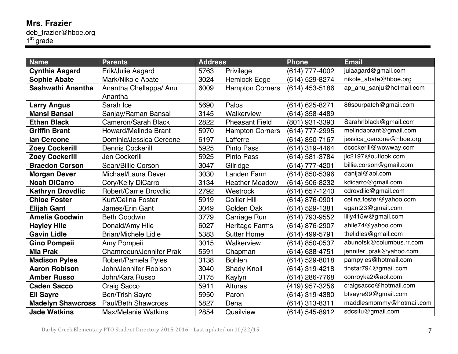#### **Mrs. Frazier** deb\_frazier@hboe.org 1<sup>st</sup> grade

| <b>Name</b>              | <b>Parents</b>             | <b>Address</b> |                        | <b>Phone</b>     | <b>Email</b>             |
|--------------------------|----------------------------|----------------|------------------------|------------------|--------------------------|
| <b>Cynthia Aagard</b>    | Erik/Julie Aagard          | 5763           | Privilege              | (614) 777-4002   | julaagard@gmail.com      |
| <b>Sophie Abate</b>      | Mark/Nikole Abate          | 3024           | <b>Hemlock Edge</b>    | (614) 529-8274   | nikole_abate@hboe.org    |
| Sashwathi Anantha        | Anantha Chellappa/ Anu     | 6009           | <b>Hampton Corners</b> | $(614)$ 453-5186 | ap_anu_sanju@hotmail.com |
|                          | Anantha                    |                |                        |                  |                          |
| <b>Larry Angus</b>       | Sarah Ice                  | 5690           | Palos                  | (614) 625-8271   | 86sourpatch@gmail.com    |
| <b>Mansi Bansal</b>      | Sanjay/Raman Bansal        | 3145           | Walkerview             | (614) 358-4489   |                          |
| <b>Ethan Black</b>       | <b>Cameron/Sarah Black</b> | 2822           | <b>Pheasant Field</b>  | (801) 931-3393   | Sarahrlblack@gmail.com   |
| <b>Griffin Brant</b>     | Howard/Melinda Brant       | 5970           | <b>Hampton Corners</b> | (614) 777-2995   | melindabrant@gmail.com   |
| lan Cercone              | Dominic/Jessica Cercone    | 6197           | Lafferre               | (614) 850-7167   | jessica_cercone@hboe.org |
| <b>Zoey Cockerill</b>    | <b>Dennis Cockerill</b>    | 5925           | <b>Pinto Pass</b>      | (614) 319-4464   | dcockerill@wowway.com    |
| <b>Zoey Cockerill</b>    | <b>Jen Cockerill</b>       | 5925           | <b>Pinto Pass</b>      | (614) 581-3784   | ilc2197@outlook.com      |
| <b>Braedon Corson</b>    | Sean/Billie Corson         | 3047           | Gilridge               | (614) 777-4201   | billie.corson@gmail.com  |
| <b>Morgan Dever</b>      | Michael/Laura Dever        | 3030           | <b>Landen Farm</b>     | (614) 850-5396   | danijai@aol.com          |
| <b>Noah DiCarro</b>      | Cory/Kelly DiCarro         | 3134           | <b>Heather Meadow</b>  | (614) 506-8232   | kdicarro@gmail.com       |
| <b>Kathryn Drovdlic</b>  | Robert/Carrie Drovdlic     | 2792           | Westrock               | (614) 657-1240   | cdrovdlic@gmail.com      |
| <b>Chloe Foster</b>      | <b>Kurt/Celina Foster</b>  | 5919           | <b>Collier Hill</b>    | (614) 876-0901   | celina.foster@yahoo.com  |
| <b>Elijah Gant</b>       | James/Erin Gant            | 3049           | Golden Oak             | (614) 529-1381   | egant23@gmail.com        |
| <b>Amelia Goodwin</b>    | <b>Beth Goodwin</b>        | 3779           | Carriage Run           | (614) 793-9552   | lilly415w@gmail.com      |
| <b>Hayley Hile</b>       | Donald/Amy Hile            | 6027           | <b>Heritage Farms</b>  | (614) 876-2907   | ahile74@yahoo.com        |
| <b>Gavin Lidle</b>       | <b>Brian/Michele Lidle</b> | 5383           | <b>Sutter Home</b>     | (614) 499-5791   | thelidles@gmail.com      |
| <b>Gino Pompeii</b>      | Amy Pompeii                | 3015           | Walkerview             | (614) 850-0537   | abunofsk@columbus.rr.com |
| <b>Mia Prak</b>          | Chamroeun/Jennifer Prak    | 5591           | Chapman                | (614) 638-4751   | jennifer_prak@yahoo.com  |
| <b>Madison Pyles</b>     | Robert/Pamela Pyles        | 3138           | <b>Bohlen</b>          | (614) 529-8018   | pampyles@hotmail.com     |
| <b>Aaron Robison</b>     | John/Jennifer Robison      | 3040           | <b>Shady Knoll</b>     | (614) 319-4218   | tinstar794@gmail.com     |
| <b>Amber Russo</b>       | John/Kara Russo            | 3175           | Kaylyn                 | (614) 286-7768   | conroyka2@aol.com        |
| <b>Caden Sacco</b>       | <b>Craig Sacco</b>         | 5911           | <b>Alturas</b>         | (419) 957-3256   | craigsacco@hotmail.com   |
| <b>Eli Sayre</b>         | <b>Ben/Trish Sayre</b>     | 5950           | Paron                  | (614) 319-4380   | btsayre99@gmail.com      |
| <b>Madelyn Shawcross</b> | <b>Paul/Beth Shawcross</b> | 5827           | Dena                   | (614) 313-8311   | maddlesmommy@hotmail.com |
| <b>Jade Watkins</b>      | <b>Max/Melanie Watkins</b> | 2854           | Quailview              | (614) 545-8912   | sdcsifu@gmail.com        |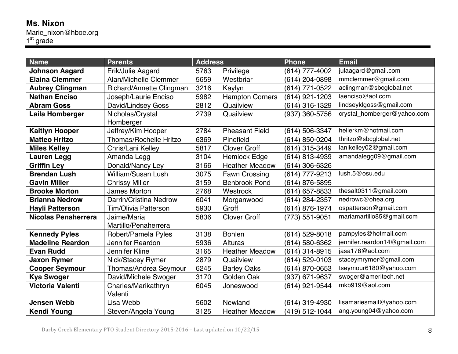#### **Ms. Nixon** Marie\_nixon@hboe.org

| <b>Name</b>                | <b>Parents</b>                | <b>Address</b> |                        | <b>Phone</b>     | <b>Email</b>                 |
|----------------------------|-------------------------------|----------------|------------------------|------------------|------------------------------|
| <b>Johnson Aagard</b>      | Erik/Julie Aagard             | 5763           | Privilege              | (614) 777-4002   | julaagard@gmail.com          |
| <b>Elaina Clemmer</b>      | <b>Alan/Michelle Clemmer</b>  | 5659           | Westbriar              | (614) 204-0898   | mmclemmer@gmail.com          |
| <b>Aubrey Clingman</b>     | Richard/Annette Clingman      | 3216           | Kaylyn                 | (614) 771-0522   | aclingman@sbcglobal.net      |
| <b>Nathan Enciso</b>       | Joseph/Laurie Enciso          | 5982           | <b>Hampton Corners</b> | $(614)$ 921-1203 | laenciso@aol.com             |
| <b>Abram Goss</b>          | David/Lindsey Goss            | 2812           | Quailview              | (614) 316-1329   | lindseyklgoss@gmail.com      |
| Laila Homberger            | Nicholas/Crystal              | 2739           | Quailview              | (937) 360-5756   | crystal_homberger@yahoo.com  |
|                            | Homberger                     |                |                        |                  |                              |
| <b>Kaitlyn Hooper</b>      | Jeffrey/Kim Hooper            | 2784           | <b>Pheasant Field</b>  | (614) 506-3347   | hellerkm@hotmail.com         |
| <b>Matteo Hritzo</b>       | <b>Thomas/Rochelle Hritzo</b> | 6369           | Pinefield              | (614) 850-0204   | thritzo@sbcglobal.net        |
| <b>Miles Kelley</b>        | Chris/Lani Kelley             | 5817           | <b>Clover Groff</b>    | (614) 315-3449   | lanikelley02@gmail.com       |
| <b>Lauren Legg</b>         | Amanda Legg                   | 3104           | <b>Hemlock Edge</b>    | (614) 813-4939   | amandalegg09@gmail.com       |
| <b>Griffin Ley</b>         | Donald/Nancy Ley              | 3166           | <b>Heather Meadow</b>  | (614) 306-6326   |                              |
| <b>Brendan Lush</b>        | William/Susan Lush            | 3075           | <b>Fawn Crossing</b>   | (614) 777-9213   | lush.5@osu.edu               |
| <b>Gavin Miller</b>        | <b>Chrissy Miller</b>         | 3159           | <b>Benbrook Pond</b>   | (614) 876-5895   |                              |
| <b>Brooke Morton</b>       | <b>James Morton</b>           | 2768           | Westrock               | (614) 657-8833   | thesalt0311@gmail.com        |
| <b>Brianna Nedrow</b>      | Darrin/Cristina Nedrow        | 6041           | Morganwood             | (614) 284-2357   | nedrowc@ohea.org             |
| <b>Hayli Patterson</b>     | Tim/Olivia Patterson          | 5930           | Groff                  | (614) 876-1974   | ospatterson@gmail.com        |
| <b>Nicolas Penaherrera</b> | Jaime/Maria                   | 5836           | <b>Clover Groff</b>    | (773) 551-9051   | mariamartillo85@gmail.com    |
|                            | Martillo/Penaherrera          |                |                        |                  |                              |
| <b>Kennedy Pyles</b>       | Robert/Pamela Pyles           | 3138           | <b>Bohlen</b>          | (614) 529-8018   | pampyles@hotmail.com         |
| <b>Madeline Reardon</b>    | Jennifer Reardon              | 5936           | <b>Alturas</b>         | (614) 580-6362   | jennifer.reardon14@gmail.com |
| <b>Evan Rudd</b>           | Jennifer Kline                | 3165           | <b>Heather Meadow</b>  | (614) 314-8915   | jasa178@aol.com              |
| <b>Jaxon Rymer</b>         | Nick/Stacey Rymer             | 2879           | Quailview              | (614) 529-0103   | staceymrymer@gmail.com       |
| <b>Cooper Seymour</b>      | Thomas/Andrea Seymour         | 6245           | <b>Barley Oaks</b>     | (614) 870-0653   | tseymour6180@yahoo.com       |
| <b>Kya Swoger</b>          | David/Michele Swoger          | 3170           | Golden Oak             | (937) 671-9637   | swoger@ameritech.net         |
| Victoria Valenti           | Charles/Marikathryn           | 6045           | Joneswood              | (614) 921-9544   | mkb919@aol.com               |
|                            | Valenti                       |                |                        |                  |                              |
| <b>Jensen Webb</b>         | Lisa Webb                     | 5602           | Newland                | (614) 319-4930   | lisamariesmail@yahoo.com     |
| <b>Kendi Young</b>         | Steven/Angela Young           | 3125           | <b>Heather Meadow</b>  | (419) 512-1044   | ang.young04@yahoo.com        |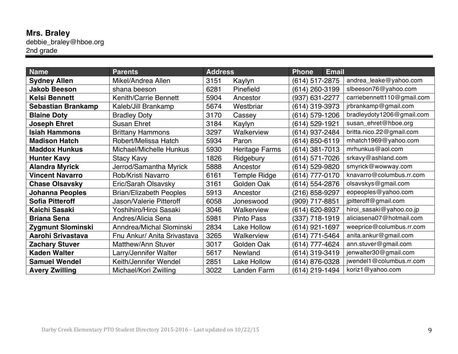#### **Mrs. Braley** debbie\_braley@hboe.org 2nd grade

| <b>Name</b>               | <b>Parents</b>                 | <b>Address</b> |                       | <b>Phone</b>   | <b>Email</b> |                            |
|---------------------------|--------------------------------|----------------|-----------------------|----------------|--------------|----------------------------|
| <b>Sydney Allen</b>       | Mikel/Andrea Allen             | 3151           | Kaylyn                | (614) 517-2875 |              | andrea_leake@yahoo.com     |
| <b>Jakob Beeson</b>       | shana beeson                   | 6281           | Pinefield             | (614) 260-3199 |              | slbeeson76@yahoo.com       |
| <b>Kelsi Bennett</b>      | <b>Kenith/Carrie Bennett</b>   | 5904           | Ancestor              | (937) 631-2277 |              | carriebennett110@gmail.com |
| <b>Sebastian Brankamp</b> | Kaleb/Jill Brankamp            | 5674           | Westbriar             | (614) 319-3973 |              | jrbrankamp@gmail.com       |
| <b>Blaine Doty</b>        | <b>Bradley Doty</b>            | 3170           | Cassey                | (614) 579-1206 |              | bradleydoty1206@gmail.com  |
| <b>Joseph Ehret</b>       | <b>Susan Ehret</b>             | 3184           | Kaylyn                | (614) 529-1921 |              | susan_ehret@hboe.org       |
| <b>Isiah Hammons</b>      | <b>Brittany Hammons</b>        | 3297           | Walkerview            | (614) 937-2484 |              | britta.nico.22@gmail.com   |
| <b>Madison Hatch</b>      | Robert/Melissa Hatch           | 5934           | Paron                 | (614) 850-6119 |              | mhatch1969@yahoo.com       |
| <b>Maddox Hunkus</b>      | Michael/Michelle Hunkus        | 5930           | <b>Heritage Farms</b> | (614) 381-7013 |              | mrhunkus@aol.com           |
| <b>Hunter Kavy</b>        | <b>Stacy Kavy</b>              | 1826           | Ridgebury             | (614) 571-7026 |              | srkavy@ashland.com         |
| <b>Alandra Myrick</b>     | Jerrod/Samantha Myrick         | 5888           | Ancestor              | (614) 529-9820 |              | smyrick@wowway.com         |
| <b>Vincent Navarro</b>    | Rob/Kristi Navarro             | 6161           | Temple Ridge          | (614) 777-0170 |              | knavarro@columbus.rr.com   |
| <b>Chase Olsavsky</b>     | Eric/Sarah Olsavsky            | 3161           | Golden Oak            | (614) 554-2876 |              | olsavskys@gmail.com        |
| <b>Johanna Peoples</b>    | <b>Brian/Elizabeth Peoples</b> | 5913           | Ancestor              | (216) 858-9297 |              | eopeoples@yahoo.com        |
| <b>Sofia Pitteroff</b>    | Jason/Valerie Pitteroff        | 6058           | Joneswood             | (909) 717-8851 |              | jpitteroff@gmail.com       |
| Kaichi Sasaki             | Yoshihiro/Hiroi Sasaki         | 3046           | Walkerview            | (614) 620-8937 |              | hiroi_sasaki@yahoo.co.jp   |
| <b>Briana Sena</b>        | Andres/Alicia Sena             | 5981           | <b>Pinto Pass</b>     | (337) 718-1919 |              | aliciasena07@hotmail.com   |
| Zygmunt Slominski         | Anndrea/Michal Slominski       | 2834           | Lake Hollow           | (614) 921-1697 |              | weeprice@columbus.rr.com   |
| Aarohi Srivastava         | Fnu Ankur/ Anita Srivastava    | 3265           | Walkerview            | (614) 771-5464 |              | anita.ankur@gmail.com      |
| <b>Zachary Stuver</b>     | Matthew/Ann Stuver             | 3017           | Golden Oak            | (614) 777-4624 |              | ann.stuver@gmail.com       |
| <b>Kaden Walter</b>       | Larry/Jennifer Walter          | 5617           | Newland               | (614) 319-3419 |              | jenwalter30@gmail.com      |
| <b>Samuel Wendel</b>      | Keith/Jennifer Wendel          | 2851           | <b>Lake Hollow</b>    | (614) 876-0328 |              | jwendel1@columbus.rr.com   |
| <b>Avery Zwilling</b>     | Michael/Kori Zwilling          | 3022           | Landen Farm           | (614) 219-1494 |              | koriz1@yahoo.com           |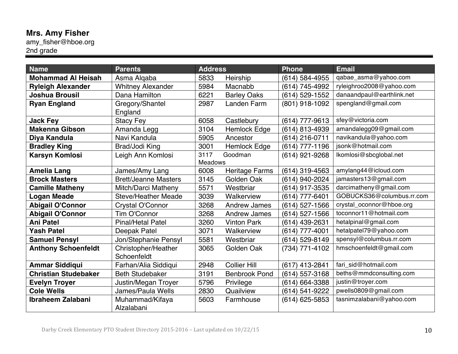# **Mrs. Amy Fisher**

amy\_fisher@hboe.org 2nd grade

| <b>Name</b>                 | <b>Parents</b>              | <b>Address</b> |                       | <b>Phone</b>   | <b>Email</b>              |
|-----------------------------|-----------------------------|----------------|-----------------------|----------------|---------------------------|
| <b>Mohammad Al Heisah</b>   | Asma Algaba                 | 5833           | Heirship              | (614) 584-4955 | qabae_asma@yahoo.com      |
| <b>Ryleigh Alexander</b>    | <b>Whitney Alexander</b>    | 5984           | Macnabb               | (614) 745-4992 | ryleighroo2008@yahoo.com  |
| <b>Joshua Brousil</b>       | Dana Hamilton               | 6221           | <b>Barley Oaks</b>    | (614) 529-1552 | danaandpaul@earthlink.net |
| <b>Ryan England</b>         | Gregory/Shantel             | 2987           | Landen Farm           | (801) 918-1092 | spengland@gmail.com       |
|                             | England                     |                |                       |                |                           |
| <b>Jack Fey</b>             | <b>Stacy Fey</b>            | 6058           | Castlebury            | (614) 777-9613 | sfey@victoria.com         |
| <b>Makenna Gibson</b>       | Amanda Legg                 | 3104           | <b>Hemlock Edge</b>   | (614) 813-4939 | amandalegg09@gmail.com    |
| Diya Kandula                | Navi Kandula                | 5905           | Ancestor              | (614) 216-0711 | navikandula@yahoo.com     |
| <b>Bradley King</b>         | Brad/Jodi King              | 3001           | <b>Hemlock Edge</b>   | (614) 777-1196 | isonk@hotmail.com         |
| <b>Karsyn Komlosi</b>       | Leigh Ann Komlosi           | 3117           | Goodman               | (614) 921-9268 | lkomlosi@sbcglobal.net    |
|                             |                             | <b>Meadows</b> |                       |                |                           |
| <b>Amelia Lang</b>          | James/Amy Lang              | 6008           | <b>Heritage Farms</b> | (614) 319-4563 | amylang44@icloud.com      |
| <b>Brock Masters</b>        | <b>Brett/Jeanne Masters</b> | 3145           | Golden Oak            | (614) 940-2024 | jamasters13@gmail.com     |
| <b>Camille Matheny</b>      | Mitch/Darci Matheny         | 5571           | Westbriar             | (614) 917-3535 | darcimatheny@gmail.com    |
| <b>Logan Meade</b>          | Steve/Heather Meade         | 3039           | Walkerview            | (614) 777-6401 | GOBUCKS36@columbus.rr.com |
| <b>Abigail O'Connor</b>     | Crystal O'Connor            | 3268           | <b>Andrew James</b>   | (614) 527-1566 | crystal_oconnor@hboe.org  |
| <b>Abigail O'Connor</b>     | Tim O'Connor                | 3268           | <b>Andrew James</b>   | (614) 527-1566 | toconnor11@hotmail.com    |
| <b>Ani Patel</b>            | <b>Pinal/Hetal Patel</b>    | 3260           | <b>Vinton Park</b>    | (614) 439-2631 | hetalpinal@gmail.com      |
| <b>Yash Patel</b>           | Deepak Patel                | 3071           | Walkerview            | (614) 777-4001 | hetalpatel79@yahoo.com    |
| <b>Samuel Pensyl</b>        | Jon/Stephanie Pensyl        | 5581           | Westbriar             | (614) 529-8149 | spensyl@columbus.rr.com   |
| <b>Anthony Schoenfeldt</b>  | Christopher/Heather         | 3065           | Golden Oak            | (734) 771-4102 | hmschoenfeldt@gmail.com   |
|                             | Schoenfeldt                 |                |                       |                |                           |
| <b>Ammar Siddiqui</b>       | Farhan/Alia Siddiqui        | 2948           | <b>Collier Hill</b>   | (617) 413-2841 | fari_sid@hotmail.com      |
| <b>Christian Studebaker</b> | <b>Beth Studebaker</b>      | 3191           | <b>Benbrook Pond</b>  | (614) 557-3168 | beths@mmdconsulting.com   |
| <b>Evelyn Troyer</b>        | Justin/Megan Troyer         | 5796           | Privilege             | (614) 664-3388 | justin@troyer.com         |
| <b>Cole Wells</b>           | James/Paula Wells           | 2830           | Quailview             | (614) 541-9222 | pwells0809@gmail.com      |
| Ibraheem Zalabani           | Muhammad/Kifaya             | 5603           | Farmhouse             | (614) 625-5853 | tasnimzalabani@yahoo.com  |
|                             | Alzalabani                  |                |                       |                |                           |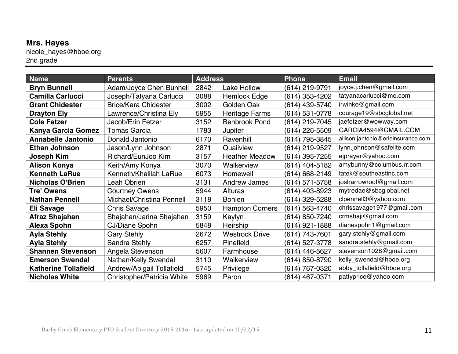# **Mrs. Hayes**

nicole\_hayes@hboe.org 2nd grade

| <b>Name</b>                 | <b>Parents</b>                 | <b>Address</b> |                        | <b>Phone</b>   | <b>Email</b>                       |
|-----------------------------|--------------------------------|----------------|------------------------|----------------|------------------------------------|
| <b>Bryn Bunnell</b>         | <b>Adam/Joyce Chen Bunnell</b> | 2842           | Lake Hollow            | (614) 219-9791 | joyce.j.chen@gmail.com             |
| <b>Camilla Carlucci</b>     | Joseph/Tatyana Carlucci        | 3088           | Hemlock Edge           | (614) 353-4202 | tatyanacarlucci@me.com             |
| <b>Grant Chidester</b>      | <b>Brice/Kara Chidester</b>    | 3002           | Golden Oak             | (614) 439-5740 | irwinke@gmail.com                  |
| <b>Drayton Ely</b>          | Lawrence/Christina Ely         | 5955           | Heritage Farms         | (614) 531-0778 | courage19@sbcglobal.net            |
| <b>Cole Fetzer</b>          | Jacob/Erin Fetzer              | 3152           | <b>Benbrook Pond</b>   | (614) 219-7045 | jaefetzer@wowway.com               |
| Kanya Garcia Gomez          | Tomas Garcia                   | 1783           | Jupiter                | (614) 226-5509 | GARCIA4594@GMAIL.COM               |
| <b>Annabelle Jantonio</b>   | Donald Jantonio                | 6170           | Ravenhill              | (614) 795-3845 | allison.jantonio@erieinsurance.com |
| <b>Ethan Johnson</b>        | Jason/Lynn Johnson             | 2871           | Quailview              | (614) 219-9527 | lynn.johnson@safelite.com          |
| <b>Joseph Kim</b>           | Richard/EunJoo Kim             | 3157           | <b>Heather Meadow</b>  | (614) 395-7255 | ejprayer@yahoo.com                 |
| <b>Alison Konya</b>         | Keith/Amy Konya                | 3070           | Walkerview             | (614) 404-5182 | amybunny@columbus.rr.com           |
| <b>Kenneth LaRue</b>        | Kenneth/Khalilah LaRue         | 6073           | Homewell               | (614) 668-2149 | tatek@southeastinc.com             |
| <b>Nicholas O'Brien</b>     | Leah Obrien                    | 3131           | <b>Andrew James</b>    | (614) 571-5758 | josharrowroof@gmail.com            |
| <b>Tre' Owens</b>           | <b>Courtney Owens</b>          | 5944           | Alturas                | (614) 403-8923 | mytredae@sbcglobal.net             |
| <b>Nathan Pennell</b>       | Michael/Christina Pennell      | 3118           | <b>Bohlen</b>          | (614) 329-5288 | clpennell3@yahoo.com               |
| <b>Eli Savage</b>           | <b>Chris Savage</b>            | 5950           | <b>Hampton Corners</b> | (614) 563-4740 | chrissavage1977@gmail.com          |
| Afraz Shajahan              | Shajahan/Jarina Shajahan       | 3159           | Kaylyn                 | (614) 850-7240 | crmshaji@gmail.com                 |
| <b>Alexa Spohn</b>          | <b>CJ/Diane Spohn</b>          | 5848           | <b>Heirship</b>        | (614) 921-1888 | dianespohn1@gmail.com              |
| <b>Ayla Stehly</b>          | <b>Gary Stehly</b>             | 2672           | <b>Westrock Drive</b>  | (614) 743-7601 | gary.stehly@gmail.com              |
| <b>Ayla Stehly</b>          | Sandra Stehly                  | 6257           | Pinefield              | (614) 527-3778 | sandra.stehly@gmail.com            |
| <b>Shannen Stevenson</b>    | Angela Stevenson               | 5607           | Farmhouse              | (614) 446-5627 | stevenson1028@gmail.com            |
| <b>Emerson Swendal</b>      | Nathan/Kelly Swendal           | 3110           | Walkerview             | (614) 850-8790 | kelly_swendal@hboe.org             |
| <b>Katherine Tollafield</b> | Andrew/Abigail Tollafield      | 5745           | Privilege              | (614) 767-0320 | abby_tollafield@hboe.org           |
| <b>Nicholas White</b>       | Christopher/Patricia White     | 5969           | Paron                  | (614) 467-0371 | pattyprice@yahoo.com               |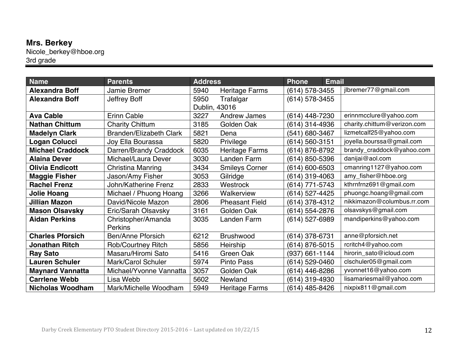# **Mrs. Berkey**

Nicole\_berkey@hboe.org 3rd grade

| <b>Name</b>             | <b>Parents</b>                       | <b>Address</b> |                       | <b>Phone</b>       | <b>Email</b> |                             |
|-------------------------|--------------------------------------|----------------|-----------------------|--------------------|--------------|-----------------------------|
| <b>Alexandra Boff</b>   | Jamie Bremer                         | 5940           | <b>Heritage Farms</b> | (614) 578-3455     |              | jlbremer77@gmail.com        |
| <b>Alexandra Boff</b>   | Jeffrey Boff                         | 5950           | Trafalgar             | $(614)$ 578-3455   |              |                             |
|                         |                                      | Dublin, 43016  |                       |                    |              |                             |
| <b>Ava Cable</b>        | <b>Erinn Cable</b>                   | 3227           | <b>Andrew James</b>   | (614) 448-7230     |              | erinnmcclure@yahoo.com      |
| <b>Nathan Chittum</b>   | <b>Charity Chittum</b>               | 3185           | Golden Oak            | (614) 314-4936     |              | charity.chittum@verizon.com |
| <b>Madelyn Clark</b>    | <b>Branden/Elizabeth Clark</b>       | 5821           | Dena                  | (541) 680-3467     |              | lizmetcalf25@yahoo.com      |
| <b>Logan Colucci</b>    | Joy Ella Bourassa                    | 5820           | Privilege             | (614) 560-3151     |              | joyella.bourssa@gmail.com   |
| <b>Michael Craddock</b> | Darren/Brandy Craddock               | 6035           | <b>Heritage Farms</b> | (614) 876-8792     |              | brandy_craddock@yahoo.com   |
| <b>Alaina Dever</b>     | Michael/Laura Dever                  | 3030           | Landen Farm           | (614) 850-5396     |              | danijai@aol.com             |
| <b>Olivia Endicott</b>  | Christina Manring                    | 3434           | <b>Smileys Corner</b> | $(614) 600 - 6503$ |              | cmanring1127@yahoo.com      |
| <b>Maggie Fisher</b>    | Jason/Amy Fisher                     | 3053           | Gilridge              | (614) 319-4063     |              | amy_fisher@hboe.org         |
| <b>Rachel Frenz</b>     | <b>John/Katherine Frenz</b>          | 2833           | Westrock              | (614) 771-5743     |              | kthrnfrnz691@gmail.com      |
| <b>Jolie Hoang</b>      | Michael / Phuong Hoang               | 3266           | Walkerview            | (614) 527-4425     |              | phuongc.hoang@gmail.com     |
| <b>Jillian Mazon</b>    | David/Nicole Mazon                   | 2806           | <b>Pheasant Field</b> | (614) 378-4312     |              | nikkimazon@columbus.rr.com  |
| <b>Mason Olsavsky</b>   | Eric/Sarah Olsavsky                  | 3161           | Golden Oak            | (614) 554-2876     |              | olsavskys@gmail.com         |
| <b>Aidan Perkins</b>    | Christopher/Amanda<br><b>Perkins</b> | 3035           | Landen Farm           | (614) 527-6989     |              | mandiperkins@yahoo.com      |
| <b>Charles Pforsich</b> | <b>Ben/Anne Pforsich</b>             | 6212           | <b>Brushwood</b>      | (614) 378-6731     |              | anne@pforsich.net           |
| <b>Jonathan Ritch</b>   | <b>Rob/Courtney Ritch</b>            | 5856           | Heirship              | (614) 876-5015     |              | rcritch4@yahoo.com          |
| <b>Ray Sato</b>         | Masaru/Hiromi Sato                   | 5416           | Green Oak             | (937) 661-1144     |              | hirorin_sato@icloud.com     |
| <b>Lauren Schuler</b>   | Mark/Carol Schuler                   | 5974           | <b>Pinto Pass</b>     | (614) 529-0460     |              | clschuler05@gmail.com       |
| <b>Maynard Vannatta</b> | Michael/Yvonne Vannatta              | 3057           | Golden Oak            | (614) 446-8286     |              | yvonnet16@yahoo.com         |
| <b>Carrlene Webb</b>    | Lisa Webb                            | 5602           | Newland               | (614) 319-4930     |              | lisamariesmail@yahoo.com    |
| <b>Nicholas Woodham</b> | Mark/Michelle Woodham                | 5949           | <b>Heritage Farms</b> | (614) 485-8426     |              | nixpix811@gmail.com         |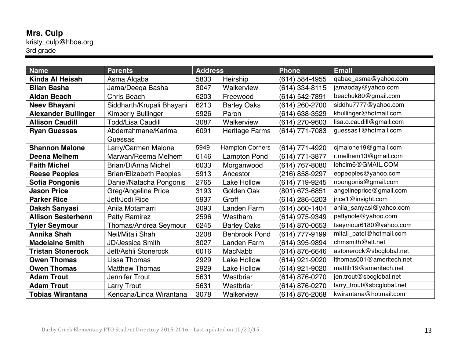#### **Mrs. Culp** kristy\_culp@hboe.org 3rd grade

| <b>Name</b>                | <b>Parents</b>                 | <b>Address</b> |                        | <b>Phone</b>   | <b>Email</b>              |
|----------------------------|--------------------------------|----------------|------------------------|----------------|---------------------------|
| Kinda Al Heisah            | Asma Alqaba                    | 5833           | Heirship               | (614) 584-4955 | qabae_asma@yahoo.com      |
| <b>Bilan Basha</b>         | Jama/Deeqa Basha               | 3047           | Walkerview             | (614) 334-8115 | jamaoday@yahoo.com        |
| <b>Aidan Beach</b>         | <b>Chris Beach</b>             | 6203           | Freewood               | (614) 542-7891 | beachuk80@gmail.com       |
| <b>Neev Bhayani</b>        | Siddharth/Krupali Bhayani      | 6213           | <b>Barley Oaks</b>     | (614) 260-2700 | siddhu7777@yahoo.com      |
| <b>Alexander Bullinger</b> | <b>Kimberly Bullinger</b>      | 5926           | Paron                  | (614) 638-3529 | kbullinger@hotmail.com    |
| <b>Allison Caudill</b>     | <b>Todd/Lisa Caudill</b>       | 3087           | Walkerview             | (614) 270-9603 | lisa.o.caudill@gmail.com  |
| <b>Ryan Guessas</b>        | Abderrahmane/Karima            | 6091           | <b>Heritage Farms</b>  | (614) 771-7083 | guessas1@hotmail.com      |
|                            | Guessas                        |                |                        |                |                           |
| <b>Shannon Malone</b>      | Larry/Carmen Malone            | 5949           | <b>Hampton Corners</b> | (614) 771-4920 | cjmalone19@gmail.com      |
| Deena Melhem               | Marwan/Reema Melhem            | 6146           | <b>Lampton Pond</b>    | (614) 771-3877 | r.melhem13@gmail.com      |
| <b>Faith Michel</b>        | <b>Brian/DiAnna Michel</b>     | 6033           | Morganwood             | (614) 767-8080 | lehcim6@GMAIL.COM         |
| <b>Reese Peoples</b>       | <b>Brian/Elizabeth Peoples</b> | 5913           | Ancestor               | (216) 858-9297 | eopeoples@yahoo.com       |
| <b>Sofia Pongonis</b>      | Daniel/Natacha Pongonis        | 2765           | Lake Hollow            | (614) 719-9245 | npongonis@gmail.com       |
| <b>Jason Price</b>         | Greg/Angeline Price            | 3193           | Golden Oak             | (801) 673-6851 | angelineprice@gmail.com   |
| <b>Parker Rice</b>         | Jeff/Jodi Rice                 | 5937           | Groff                  | (614) 286-5203 | jrice1@insight.com        |
| Daksh Sanyasi              | Anila Motamarri                | 3093           | Landen Farm            | (614) 560-1404 | anila_sanyasi@yahoo.com   |
| <b>Allison Sesterhenn</b>  | <b>Patty Ramirez</b>           | 2596           | Westham                | (614) 975-9349 | pattynole@yahoo.com       |
| <b>Tyler Seymour</b>       | Thomas/Andrea Seymour          | 6245           | <b>Barley Oaks</b>     | (614) 870-0653 | tseymour6180@yahoo.com    |
| <b>Annika Shah</b>         | Neil/Mitali Shah               | 3208           | <b>Benbrook Pond</b>   | (614) 777-9199 | mitali_patel@hotmail.com  |
| <b>Madelaine Smith</b>     | <b>JD/Jessica Smith</b>        | 3027           | Landen Farm            | (614) 395-9894 | chmsmith@att.net          |
| <b>Tristan Stonerock</b>   | Jeff/Ashli Stonerock           | 6016           | <b>MacNabb</b>         | (614) 876-6646 | astonerock@sbcglobal.net  |
| <b>Owen Thomas</b>         | Lissa Thomas                   | 2929           | <b>Lake Hollow</b>     | (614) 921-9020 | Ithomas001@ameritech.net  |
| <b>Owen Thomas</b>         | <b>Matthew Thomas</b>          | 2929           | Lake Hollow            | (614) 921-9020 | mattth19@ameritech.net    |
| <b>Adam Trout</b>          | Jennifer Trout                 | 5631           | Westbriar              | (614) 876-0270 | jen.trout@sbcglobal.net   |
| <b>Adam Trout</b>          | <b>Larry Trout</b>             | 5631           | Westbriar              | (614) 876-0270 | larry_trout@sbcglobal.net |
| <b>Tobias Wirantana</b>    | Kencana/Linda Wirantana        | 3078           | Walkerview             | (614) 876-2068 | kwirantana@hotmail.com    |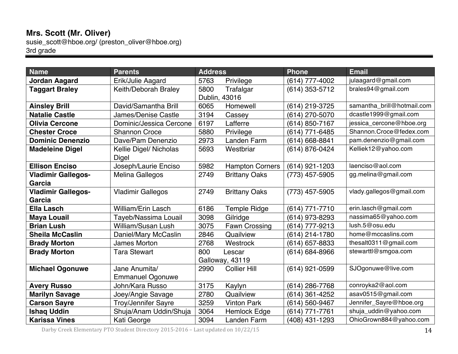## **Mrs. Scott (Mr. Oliver)**

susie\_scott@hboe.org/ (preston\_oliver@hboe.org) 3rd grade

| <b>Name</b>               | <b>Parents</b>             | <b>Address</b> |                        | <b>Phone</b>   | <b>Email</b>               |
|---------------------------|----------------------------|----------------|------------------------|----------------|----------------------------|
| <b>Jordan Aagard</b>      | Erik/Julie Aagard          | 5763           | Privilege              | (614) 777-4002 | julaagard@gmail.com        |
| <b>Taggart Braley</b>     | Keith/Deborah Braley       | 5800           | Trafalgar              | (614) 353-5712 | brales94@gmail.com         |
|                           |                            |                | Dublin, 43016          |                |                            |
| <b>Ainsley Brill</b>      | David/Samantha Brill       | 6065           | Homewell               | (614) 219-3725 | samantha_brill@hotmail.com |
| <b>Natalie Castle</b>     | James/Denise Castle        | 3194           | Cassey                 | (614) 270-5070 | dcastle1999@gmail.com      |
| <b>Olivia Cercone</b>     | Dominic/Jessica Cercone    | 6197           | Lafferre               | (614) 850-7167 | jessica_cercone@hboe.org   |
| <b>Chester Croce</b>      | <b>Shannon Croce</b>       | 5880           | Privilege              | (614) 771-6485 | Shannon.Croce@fedex.com    |
| <b>Dominic Denenzio</b>   | Dave/Pam Denenzio          | 2973           | Landen Farm            | (614) 668-8841 | pam.denenzio@gmail.com     |
| <b>Madeleine Digel</b>    | Kellie Digel/ Nicholas     | 5693           | Westbriar              | (614) 876-0424 | Kelliek12@yahoo.com        |
|                           | Digel                      |                |                        |                |                            |
| <b>Ellison Enciso</b>     | Joseph/Laurie Enciso       | 5982           | <b>Hampton Corners</b> | (614) 921-1203 | laenciso@aol.com           |
| <b>Vladimir Gallegos-</b> | <b>Melina Gallegos</b>     | 2749           | <b>Brittany Oaks</b>   | (773) 457-5905 | gg.melina@gmail.com        |
| Garcia                    |                            |                |                        |                |                            |
| <b>Vladimir Gallegos-</b> | <b>Vladimir Gallegos</b>   | 2749           | <b>Brittany Oaks</b>   | (773) 457-5905 | vlady.gallegos@gmail.com   |
| Garcia                    |                            |                |                        |                |                            |
| <b>Ella Lasch</b>         | William/Erin Lasch         | 6186           | <b>Temple Ridge</b>    | (614) 771-7710 | erin.lasch@gmail.com       |
| <b>Maya Louail</b>        | Tayeb/Nassima Louail       | 3098           | Gilridge               | (614) 973-8293 | nassima65@yahoo.com        |
| <b>Brian Lush</b>         | <b>William/Susan Lush</b>  | 3075           | <b>Fawn Crossing</b>   | (614) 777-9213 | lush.5@osu.edu             |
| <b>Sheila McCaslin</b>    | Daniel/Mary McCaslin       | 2846           | Quailview              | (614) 214-1780 | home@mccaslins.com         |
| <b>Brady Morton</b>       | James Morton               | 2768           | Westrock               | (614) 657-8833 | thesalt0311@gmail.com      |
| <b>Brady Morton</b>       | <b>Tara Stewart</b>        | 800            | Lescar                 | (614) 684-8966 | stewarttl@smgoa.com        |
|                           |                            |                | Galloway, 43119        |                |                            |
| <b>Michael Ogonuwe</b>    | Jane Anumita/              | 2990           | <b>Collier Hill</b>    | (614) 921-0599 | SJOgonuwe@live.com         |
|                           | <b>Emmanuel Ogonuwe</b>    |                |                        |                |                            |
| <b>Avery Russo</b>        | John/Kara Russo            | 3175           | Kaylyn                 | (614) 286-7768 | conroyka2@aol.com          |
| <b>Marilyn Savage</b>     | Joey/Angie Savage          | 2780           | Quailview              | (614) 361-4252 | asav0515@gmail.com         |
| <b>Carson Sayre</b>       | <b>Troy/Jennifer Sayre</b> | 3259           | <b>Vinton Park</b>     | (614) 560-9467 | Jennifer_Sayre@hboe.org    |
| <b>Ishaq Uddin</b>        | Shuja/Anam Uddin/Shuja     | 3064           | <b>Hemlock Edge</b>    | (614) 771-7761 | shuja_uddin@yahoo.com      |
| <b>Karissa Vines</b>      | Kati George                | 3094           | Landen Farm            | (408) 431-1293 | OhioGrown884@yahoo.com     |

Darby Creek Elementary PTO Student Directory 2015-2016 - Last updated on  $10/22/15$  14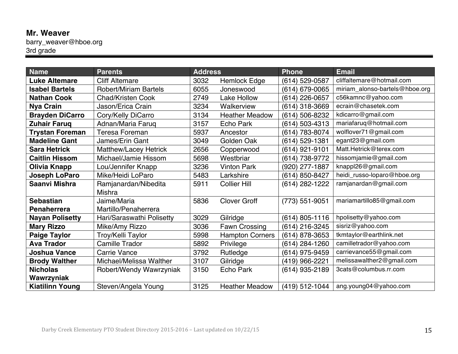# **Mr. Weaver**

barry\_weaver@hboe.org 3rd grade

| <b>Name</b>            | <b>Parents</b>               | <b>Address</b> |                        | <b>Phone</b>   | <b>Email</b>                   |
|------------------------|------------------------------|----------------|------------------------|----------------|--------------------------------|
| <b>Luke Altemare</b>   | <b>Cliff Altemare</b>        | 3032           | <b>Hemlock Edge</b>    | (614) 529-0587 | cliffaltemare@hotmail.com      |
| <b>Isabel Bartels</b>  | <b>Robert/Miriam Bartels</b> | 6055           | Joneswood              | (614) 679-0065 | miriam_alonso-bartels@hboe.org |
| <b>Nathan Cook</b>     | <b>Chad/Kristen Cook</b>     | 2749           | <b>Lake Hollow</b>     | (614) 226-0657 | c56kamnc@yahoo.com             |
| <b>Nya Crain</b>       | Jason/Erica Crain            | 3234           | Walkerview             | (614) 318-3669 | ecrain@chasetek.com            |
| <b>Brayden DiCarro</b> | Cory/Kelly DiCarro           | 3134           | <b>Heather Meadow</b>  | (614) 506-8232 | kdicarro@gmail.com             |
| <b>Zuhair Faruq</b>    | Adnan/Maria Faruq            | 3157           | Echo Park              | (614) 503-4313 | mariafaruq@hotmail.com         |
| <b>Trystan Foreman</b> | <b>Teresa Foreman</b>        | 5937           | Ancestor               | (614) 783-8074 | wolflover71@gmail.com          |
| <b>Madeline Gant</b>   | James/Erin Gant              | 3049           | Golden Oak             | (614) 529-1381 | egant23@gmail.com              |
| <b>Sara Hetrick</b>    | <b>Matthew/Lacey Hetrick</b> | 2656           | Copperwood             | (614) 921-9101 | Matt.Hetrick@terex.com         |
| <b>Caitlin Hissom</b>  | Michael/Jamie Hissom         | 5698           | Westbriar              | (614) 738-9772 | hissomjamie@gmail.com          |
| Olivia Knapp           | Lou/Jennifer Knapp           | 3236           | <b>Vinton Park</b>     | (920) 277-1887 | knappl26@gmail.com             |
| Joseph LoParo          | Mike/Heidi LoParo            | 5483           | Larkshire              | (614) 850-8427 | heidi_russo-loparo@hboe.org    |
| Saanvi Mishra          | Ramjanardan/Nibedita         | 5911           | <b>Collier Hill</b>    | (614) 282-1222 | ramjanardan@gmail.com          |
|                        | <b>Mishra</b>                |                |                        |                |                                |
| <b>Sebastian</b>       | Jaime/Maria                  | 5836           | <b>Clover Groff</b>    | (773) 551-9051 | mariamartillo85@gmail.com      |
| <b>Penaherrera</b>     | Martillo/Penaherrera         |                |                        |                |                                |
| <b>Nayan Polisetty</b> | Hari/Saraswathi Polisetty    | 3029           | Gilridge               | (614) 805-1116 | hpolisetty@yahoo.com           |
| <b>Mary Rizzo</b>      | Mike/Amy Rizzo               | 3036           | Fawn Crossing          | (614) 216-3245 | sisriz@yahoo.com               |
| <b>Paige Taylor</b>    | Troy/Kelli Taylor            | 5998           | <b>Hampton Corners</b> | (614) 878-3653 | tkmtaylor@earthlink.net        |
| <b>Ava Trador</b>      | <b>Camille Trador</b>        | 5892           | Privilege              | (614) 284-1260 | camilletrador@yahoo.com        |
| <b>Joshua Vance</b>    | <b>Carrie Vance</b>          | 3792           | Rutledge               | (614) 975-9459 | carrievance55@gmail.com        |
| <b>Brody Walther</b>   | Michael/Melissa Walther      | 3107           | Gilridge               | (419) 966-2221 | melissawalther2@gmail.com      |
| <b>Nicholas</b>        | Robert/Wendy Wawrzyniak      | 3150           | <b>Echo Park</b>       | (614) 935-2189 | 3cats@columbus.rr.com          |
| Wawrzyniak             |                              |                |                        |                |                                |
| <b>Kiatilinn Young</b> | Steven/Angela Young          | 3125           | <b>Heather Meadow</b>  | (419) 512-1044 | ang.young04@yahoo.com          |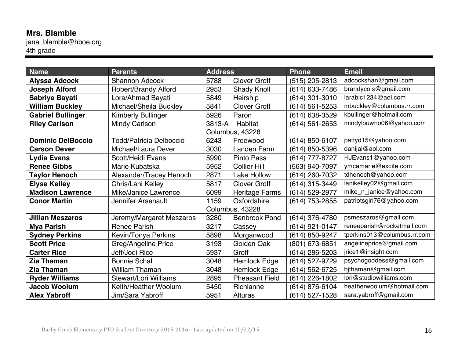## **Mrs. Blamble**

jana\_blamble@hboe.org 4th grade

| <b>Name</b>              | <b>Parents</b>                 | <b>Address</b> |                       | <b>Phone</b>       | <b>Email</b>                |
|--------------------------|--------------------------------|----------------|-----------------------|--------------------|-----------------------------|
| <b>Alyssa Adcock</b>     | <b>Shannon Adcock</b>          | 5788           | <b>Clover Groff</b>   | (515) 205-2813     | adcockshan@gmail.com        |
| <b>Joseph Alford</b>     | <b>Robert/Brandy Alford</b>    | 2953           | <b>Shady Knoll</b>    | (614) 633-7486     | brandycols@gmail.com        |
| Sabriye Bayati           | Lora/Ahmad Bayati              | 5849           | Heirship              | (614) 301-3010     | larabic1234@aol.com         |
| <b>William Buckley</b>   | Michael/Sheila Buckley         | 5841           | <b>Clover Groff</b>   | (614) 561-5253     | mbuckley@columbus.rr.com    |
| <b>Gabriel Bullinger</b> | <b>Kimberly Bullinger</b>      | 5926           | Paron                 | (614) 638-3529     | kbullinger@hotmail.com      |
| <b>Riley Carlson</b>     | <b>Mindy Carlson</b>           | 3813-A         | <b>Habitat</b>        | $(614) 561 - 2653$ | mindylouwho06@yahoo.com     |
|                          |                                |                | Columbus, 43228       |                    |                             |
| <b>Dominic DelBoccio</b> | <b>Todd/Patricia Delboccio</b> | 6243           | Freewood              | (614) 850-6107     | pattyd15@yahoo.com          |
| <b>Carson Dever</b>      | Michael/Laura Dever            | 3030           | Landen Farm           | (614) 850-5396     | danijai@aol.com             |
| <b>Lydia Evans</b>       | Scott/Heidi Evans              | 5990           | Pinto Pass            | (614) 777-8727     | HJEvans1@yahoo.com          |
| <b>Renee Gibbs</b>       | Marie Kubatska                 | 5952           | <b>Collier Hill</b>   | (563) 940-7097     | ymcamarie@excite.com        |
| <b>Taylor Henoch</b>     | Alexander/Tracey Henoch        | 2871           | Lake Hollow           | (614) 260-7032     | tdhenoch@yahoo.com          |
| <b>Elyse Kelley</b>      | Chris/Lani Kelley              | 5817           | <b>Clover Groff</b>   | (614) 315-3449     | lanikelley02@gmail.com      |
| <b>Madison Lawrence</b>  | Mike/Janice Lawrence           | 6099           | <b>Heritage Farms</b> | (614) 529-2977     | mike_n_janice@yahoo.com     |
| <b>Conor Martin</b>      | Jennifer Arsenault             | 1159           | Oxfordshire           | (614) 753-2855     | patriotsgirl76@yahoo.com    |
|                          |                                |                | Columbus, 43228       |                    |                             |
| <b>Jillian Meszaros</b>  | Jeremy/Margaret Meszaros       | 3280           | <b>Benbrook Pond</b>  | (614) 376-4780     | psmeszaros@gmail.com        |
| <b>Mya Parish</b>        | <b>Renee Parish</b>            | 3217           | Cassey                | (614) 921-0147     | reneeparish@rocketmail.com  |
| <b>Sydney Perkins</b>    | Kevin/Tonya Perkins            | 5898           | Morganwood            | (614) 850-9247     | tperkins013@columbus.rr.com |
| <b>Scott Price</b>       | Greg/Angeline Price            | 3193           | Golden Oak            | (801) 673-6851     | angelineprice@gmail.com     |
| <b>Carter Rice</b>       | Jeff/Jodi Rice                 | 5937           | Groff                 | (614) 286-5203     | jrice1@insight.com          |
| <b>Zia Thaman</b>        | <b>Bonnie Schall</b>           | 3048           | <b>Hemlock Edge</b>   | (614) 527-9729     | psychogoddess@gmail.com     |
| <b>Zia Thaman</b>        | <b>William Thaman</b>          | 3048           | <b>Hemlock Edge</b>   | (614) 562-6725     | bjthaman@gmail.com          |
| <b>Ryder Williams</b>    | <b>Stewart/Lori Williams</b>   | 2895           | <b>Pheasant Field</b> | (614) 226-1802     | lori@studiowilliams.com     |
| <b>Jacob Woolum</b>      | Keith/Heather Woolum           | 5450           | Richlanne             | (614) 876-6104     | heatherwoolum@hotmail.com   |
| <b>Alex Yabroff</b>      | Jim/Sara Yabroff               | 5951           | Alturas               | (614) 527-1528     | sara.yabroff@gmail.com      |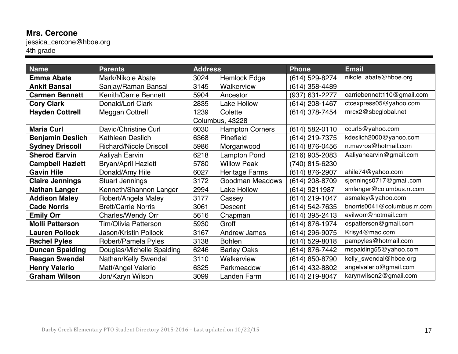# **Mrs. Cercone**

jessica\_cercone@hboe.org 4th grade

| <b>Name</b>             | <b>Parents</b>                 | <b>Address</b> |                        | <b>Phone</b>     | <b>Email</b>                |
|-------------------------|--------------------------------|----------------|------------------------|------------------|-----------------------------|
| <b>Emma Abate</b>       | Mark/Nikole Abate              | 3024           | <b>Hemlock Edge</b>    | (614) 529-8274   | nikole_abate@hboe.org       |
| <b>Ankit Bansal</b>     | Sanjay/Raman Bansal            | 3145           | Walkerview             | (614) 358-4489   |                             |
| <b>Carmen Bennett</b>   | <b>Kenith/Carrie Bennett</b>   | 5904           | Ancestor               | (937) 631-2277   | carriebennett110@gmail.com  |
| <b>Cory Clark</b>       | Donald/Lori Clark              | 2835           | <b>Lake Hollow</b>     | $(614)$ 208-1467 | ctcexpress05@yahoo.com      |
| <b>Hayden Cottrell</b>  | Meggan Cottrell                | 1239           | Colette                | (614) 378-7454   | mrcx2@sbcglobal.net         |
|                         |                                |                | Columbus, 43228        |                  |                             |
| <b>Maria Curl</b>       | David/Christine Curl           | 6030           | <b>Hampton Corners</b> | (614) 582-0110   | ccurl5@yahoo.com            |
| <b>Benjamin Deslich</b> | <b>Kathleen Deslich</b>        | 6368           | Pinefield              | (614) 219-7375   | kdeslich2000@yahoo.com      |
| <b>Sydney Driscoll</b>  | <b>Richard/Nicole Driscoll</b> | 5986           | Morganwood             | (614) 876-0456   | n.mavros@hotmail.com        |
| <b>Sherod Earvin</b>    | <b>Aaliyah Earvin</b>          | 6218           | <b>Lampton Pond</b>    | (216) 905-2083   | Aaliyahearvin@gmail.com     |
| <b>Campbell Hazlett</b> | <b>Bryan/April Hazlett</b>     | 5780           | <b>Willow Peak</b>     | (740) 815-6230   |                             |
| <b>Gavin Hile</b>       | Donald/Amy Hile                | 6027           | <b>Heritage Farms</b>  | (614) 876-2907   | ahile74@yahoo.com           |
| <b>Claire Jennings</b>  | <b>Stuart Jennings</b>         | 3172           | <b>Goodman Meadows</b> | (614) 208-8709   | sjennings0717@gmail.com     |
| <b>Nathan Langer</b>    | Kenneth/Shannon Langer         | 2994           | <b>Lake Hollow</b>     | (614) 9211987    | smlanger@columbus.rr.com    |
| <b>Addison Maley</b>    | Robert/Angela Maley            | 3177           | Cassey                 | (614) 219-1047   | asmaley@yahoo.com           |
| <b>Cade Norris</b>      | <b>Brett/Carrie Norris</b>     | 3061           | <b>Descent</b>         | (614) 542-7635   | bnorris0041@columbus.rr.com |
| <b>Emily Orr</b>        | <b>Charles/Wendy Orr</b>       | 5616           | Chapman                | (614) 395-2413   | evilworr@hotmail.com        |
| <b>Molli Patterson</b>  | Tim/Olivia Patterson           | 5930           | Groff                  | (614) 876-1974   | ospatterson@gmail.com       |
| <b>Lauren Pollock</b>   | Jason/Kristin Pollock          | 3167           | <b>Andrew James</b>    | (614) 296-9075   | Krisy4@mac.com              |
| <b>Rachel Pyles</b>     | Robert/Pamela Pyles            | 3138           | <b>Bohlen</b>          | $(614)$ 529-8018 | pampyles@hotmail.com        |
| <b>Duncan Spalding</b>  | Douglas/Michelle Spalding      | 6246           | <b>Barley Oaks</b>     | (614) 876-7442   | mspalding55@yahoo.com       |
| <b>Reagan Swendal</b>   | Nathan/Kelly Swendal           | 3110           | Walkerview             | (614) 850-8790   | kelly_swendal@hboe.org      |
| <b>Henry Valerio</b>    | Matt/Angel Valerio             | 6325           | Parkmeadow             | (614) 432-8802   | angelvalerio@gmail.com      |
| <b>Graham Wilson</b>    | Jon/Karyn Wilson               | 3099           | Landen Farm            | (614) 219-8047   | karynwilson2@gmail.com      |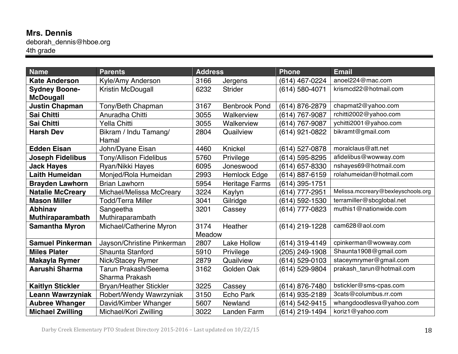# **Mrs. Dennis**

deborah\_dennis@hboe.org 4th grade

| <b>Name</b>             | <b>Parents</b>                | <b>Address</b> |                       | <b>Phone</b>   | <b>Email</b>                       |
|-------------------------|-------------------------------|----------------|-----------------------|----------------|------------------------------------|
| <b>Kate Anderson</b>    | Kyle/Amy Anderson             | 3166           | Jergens               | (614) 467-0224 | anoel224@mac.com                   |
| <b>Sydney Boone-</b>    | Kristin McDougall             | 6232           | <b>Strider</b>        | (614) 580-4071 | krismcd22@hotmail.com              |
| <b>McDougall</b>        |                               |                |                       |                |                                    |
| <b>Justin Chapman</b>   | Tony/Beth Chapman             | 3167           | <b>Benbrook Pond</b>  | (614) 876-2879 | chapmat2@yahoo.com                 |
| Sai Chitti              | Anuradha Chitti               | 3055           | Walkerview            | (614) 767-9087 | rchitti2002@yahoo.com              |
| Sai Chitti              | Yella Chitti                  | 3055           | Walkerview            | (614) 767-9087 | ychitti2001@yahoo.com              |
| <b>Harsh Dev</b>        | Bikram / Indu Tamang/         | 2804           | Quailview             | (614) 921-0822 | bikramt@gmail.com                  |
|                         | Hamal                         |                |                       |                |                                    |
| <b>Edden Eisan</b>      | John/Dyane Eisan              | 4460           | Knickel               | (614) 527-0878 | moralclaus@att.net                 |
| <b>Joseph Fidelibus</b> | <b>Tony/Allison Fidelibus</b> | 5760           | Privilege             | (614) 595-8295 | afidelibus@wowway.com              |
| <b>Jack Hayes</b>       | Ryan/Nikki Hayes              | 6095           | Joneswood             | (614) 657-8330 | nshayes69@hotmail.com              |
| <b>Laith Humeidan</b>   | Monjed/Rola Humeidan          | 2993           | Hemlock Edge          | (614) 887-6159 | rolahumeidan@hotmail.com           |
| <b>Brayden Lawhorn</b>  | <b>Brian Lawhorn</b>          | 5954           | <b>Heritage Farms</b> | (614) 395-1751 |                                    |
| <b>Natalie McCreary</b> | Michael/Melissa McCreary      | 3224           | Kaylyn                | (614) 777-2951 | Melissa.mccreary@bexleyschools.org |
| <b>Mason Miller</b>     | <b>Todd/Terra Miller</b>      | 3041           | Gilridge              | (614) 592-1530 | terramiller@sbcglobal.net          |
| <b>Abhinav</b>          | Sangeetha                     | 3201           | Cassey                | (614) 777-0823 | muthis1@nationwide.com             |
| <b>Muthiraparambath</b> | Muthiraparambath              |                |                       |                |                                    |
| <b>Samantha Myron</b>   | Michael/Catherine Myron       | 3174           | Heather               | (614) 219-1228 | cam628@aol.com                     |
|                         |                               | Meadow         |                       |                |                                    |
| <b>Samuel Pinkerman</b> | Jayson/Christine Pinkerman    | 2807           | <b>Lake Hollow</b>    | (614) 319-4149 | cpinkerman@wowway.com              |
| <b>Miles Plater</b>     | Shaunta Stanford              | 5910           | Privilege             | (205) 249-1908 | Shaunta1908@gmail.com              |
| Makayla Rymer           | Nick/Stacey Rymer             | 2879           | Quailview             | (614) 529-0103 | staceymrymer@gmail.com             |
| Aarushi Sharma          | <b>Tarun Prakash/Seema</b>    | 3162           | Golden Oak            | (614) 529-9804 | prakash_tarun@hotmail.com          |
|                         | Sharma Prakash                |                |                       |                |                                    |
| <b>Kaitlyn Stickler</b> | <b>Bryan/Heather Stickler</b> | 3225           | Cassey                | (614) 876-7480 | bstickler@sms-cpas.com             |
| Leann Wawrzyniak        | Robert/Wendy Wawrzyniak       | 3150           | <b>Echo Park</b>      | (614) 935-2189 | 3cats@columbus.rr.com              |
| <b>Aubree Whanger</b>   | David/Kimber Whanger          | 5607           | Newland               | (614) 542-9415 | whangdoodlesva@yahoo.com           |
| <b>Michael Zwilling</b> | Michael/Kori Zwilling         | 3022           | Landen Farm           | (614) 219-1494 | koriz1@yahoo.com                   |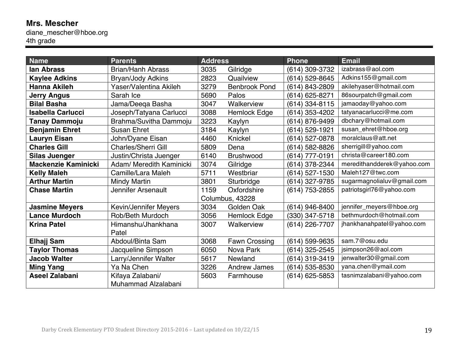#### **Mrs. Mescher** diane\_mescher@hboe.org 4th grade

| <b>Name</b>                | <b>Parents</b>               | <b>Address</b> |                      | <b>Phone</b>       | <b>Email</b>               |
|----------------------------|------------------------------|----------------|----------------------|--------------------|----------------------------|
| lan Abrass                 | <b>Brian/Hanh Abrass</b>     | 3035           | Gilridge             | (614) 309-3732     | izabrass@aol.com           |
| <b>Kaylee Adkins</b>       | Bryan/Jody Adkins            | 2823           | Quailview            | (614) 529-8645     | Adkins155@gmail.com        |
| <b>Hanna Akileh</b>        | Yaser/Valentina Akileh       | 3279           | <b>Benbrook Pond</b> | (614) 843-2809     | akilehyaser@hotmail.com    |
| <b>Jerry Angus</b>         | Sarah Ice                    | 5690           | Palos                | (614) 625-8271     | 86sourpatch@gmail.com      |
| <b>Bilal Basha</b>         | Jama/Deeqa Basha             | 3047           | Walkerview           | (614) 334-8115     | jamaoday@yahoo.com         |
| <b>Isabella Carlucci</b>   | Joseph/Tatyana Carlucci      | 3088           | <b>Hemlock Edge</b>  | (614) 353-4202     | tatyanacarlucci@me.com     |
| <b>Tanay Dammoju</b>       | Brahma/Suvitha Dammoju       | 3223           | Kaylyn               | (614) 876-9499     | dbchary@hotmail.com        |
| <b>Benjamin Ehret</b>      | <b>Susan Ehret</b>           | 3184           | Kaylyn               | (614) 529-1921     | susan_ehret@hboe.org       |
| <b>Lauryn Eisan</b>        | John/Dyane Eisan             | 4460           | Knickel              | (614) 527-0878     | moralclaus@att.net         |
| <b>Charles Gill</b>        | <b>Charles/Sherri Gill</b>   | 5809           | Dena                 | (614) 582-8826     | sherrigill@yahoo.com       |
| <b>Silas Juenger</b>       | Justin/Christa Juenger       | 6140           | <b>Brushwood</b>     | (614) 777-0191     | christa@career180.com      |
| <b>Mackenzie Kaminicki</b> | Adam/ Meredith Kaminicki     | 3074           | Gilridge             | (614) 378-2344     | meredithandderek@yahoo.com |
| <b>Kelly Maleh</b>         | Camille/Lara Maleh           | 5711           | Westbriar            | (614) 527-1530     | Maleh127@twc.com           |
| <b>Arthur Martin</b>       | <b>Mindy Martin</b>          | 3801           | Sturbridge           | (614) 327-9785     | sugarmagnolialuv@gmail.com |
| <b>Chase Martin</b>        | Jennifer Arsenault           | 1159           | Oxfordshire          | (614) 753-2855     | patriotsgirl76@yahoo.com   |
|                            |                              |                | Columbus, 43228      |                    |                            |
| <b>Jasmine Meyers</b>      | <b>Kevin/Jennifer Meyers</b> | 3034           | Golden Oak           | (614) 946-8400     | jennifer_meyers@hboe.org   |
| <b>Lance Murdoch</b>       | <b>Rob/Beth Murdoch</b>      | 3056           | <b>Hemlock Edge</b>  | (330) 347-5718     | bethmurdoch@hotmail.com    |
| <b>Krina Patel</b>         | Himanshu/Jhankhana           | 3007           | Walkerview           | (614) 226-7707     | jhankhanahpatel@yahoo.com  |
|                            | Patel                        |                |                      |                    |                            |
| <b>Elhajj Sam</b>          | Abdoul/Binta Sam             | 3068           | Fawn Crossing        | (614) 599-9635     | sam.7@osu.edu              |
| <b>Taylor Thomas</b>       | Jacqueline Simpson           | 6050           | Nova Park            | (614) 325-2545     | jsimpson26@aol.com         |
| <b>Jacob Walter</b>        | Larry/Jennifer Walter        | 5617           | Newland              | (614) 319-3419     | jenwalter30@gmail.com      |
| <b>Ming Yang</b>           | Ya Na Chen                   | 3226           | <b>Andrew James</b>  | (614) 535-8530     | yana.chen@ymail.com        |
| <b>Aseel Zalabani</b>      | Kifaya Zalabani/             | 5603           | Farmhouse            | $(614) 625 - 5853$ | tasnimzalabani@yahoo.com   |
|                            | Muhammad Alzalabani          |                |                      |                    |                            |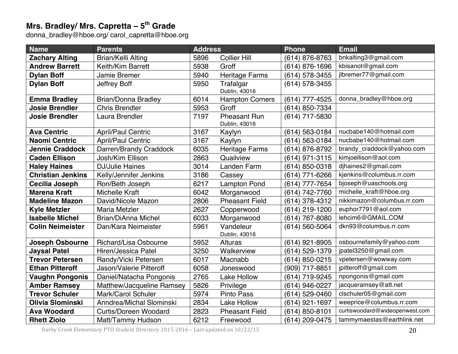#### **Mrs. Bradley/ Mrs. Capretta – 5th Grade**

donna\_bradley@hboe.org/ carol\_capretta@hboe.org

| <b>Name</b>              | <b>Parents</b>               | <b>Address</b> |                                      | <b>Phone</b>   | <b>Email</b>                   |
|--------------------------|------------------------------|----------------|--------------------------------------|----------------|--------------------------------|
| <b>Zachary Alting</b>    | <b>Brian/Kelli Alting</b>    | 5896           | <b>Collier Hill</b>                  | (614) 876-8763 | bnkalting3@gmail.com           |
| <b>Andrew Barrett</b>    | Keith/Kim Barrett            | 5938           | Groff                                | (614) 876-1696 | kbisanot@gmail.com             |
| <b>Dylan Boff</b>        | Jamie Bremer                 | 5940           | <b>Heritage Farms</b>                | (614) 578-3455 | jlbremer77@gmail.com           |
| <b>Dylan Boff</b>        | Jeffrey Boff                 | 5950           | Trafalgar                            | (614) 578-3455 |                                |
|                          |                              |                | Dublin, 43016                        |                |                                |
| <b>Emma Bradley</b>      | <b>Brian/Donna Bradley</b>   | 6014           | <b>Hampton Corners</b>               | (614) 777-4525 | donna_bradley@hboe.org         |
| <b>Josie Brendler</b>    | <b>Chris Brendler</b>        | 5953           | Groff                                | (614) 850-7334 |                                |
| <b>Josie Brendler</b>    | Laura Brendler               | 7197           | <b>Pheasant Run</b><br>Dublin, 43016 | (614) 717-5830 |                                |
| <b>Ava Centric</b>       | <b>April/Paul Centric</b>    | 3167           | Kaylyn                               | (614) 563-0184 | nucbabe140@hotmail.com         |
| <b>Naomi Centric</b>     | <b>April/Paul Centric</b>    | 3167           | Kaylyn                               | (614) 563-0184 | nucbabe140@hotmail.com         |
| <b>Jennie Craddock</b>   | Darren/Brandy Craddock       | 6035           | <b>Heritage Farms</b>                | (614) 876-8792 | brandy_craddock@yahoo.com      |
| <b>Caden Ellison</b>     | Josh/Kim Ellison             | 2863           | Quailview                            | (614) 971-3115 | kimjoellison@aol.com           |
| <b>Haley Haines</b>      | <b>DJ/Julie Haines</b>       | 3014           | Landen Farm                          | (614) 850-0318 | dihaines2@gmail.com            |
| <b>Christian Jenkins</b> | Kelly/Jennifer Jenkins       | 3186           | Cassey                               | (614) 771-6266 | kjenkins@columbus.rr.com       |
| Cecilia Joseph           | Ron/Beth Joseph              | 6217           | <b>Lampton Pond</b>                  | (614) 777-7654 | bjoseph@uaschools.org          |
| <b>Marena Kraft</b>      | <b>Michelle Kraft</b>        | 6042           | Morganwood                           | (614) 742-7760 | michelle_kraft@hboe.org        |
| <b>Madeline Mazon</b>    | David/Nicole Mazon           | 2806           | <b>Pheasant Field</b>                | (614) 378-4312 | nikkimazon@columbus.rr.com     |
| <b>Kyle Metzler</b>      | Maria Metzler                | 2627           | Copperwood                           | (614) 219-1200 | euphor7791@aol.com             |
| <b>Isabelle Michel</b>   | <b>Brian/DiAnna Michel</b>   | 6033           | Morganwood                           | (614) 767-8080 | lehcim6@GMAIL.COM              |
| <b>Colin Neimeister</b>  | Dan/Kara Neimeister          | 5961           | Vandeleur                            | (614) 560-5064 | dkn93@columbus.rr.com          |
|                          |                              |                | Dublin, 43016                        |                |                                |
| <b>Joseph Osbourne</b>   | Richard/Lisa Osbourne        | 5952           | Alturas                              | (614) 921-8905 | osbournefamily@yahoo.com       |
| <b>Jaysal Patel</b>      | Hiren/Jessica Patel          | 3250           | Walkerview                           | (614) 529-1379 | jpatel3250@gmail.com           |
| <b>Trevor Petersen</b>   | Randy/Vicki Petersen         | 6017           | Macnabb                              | (614) 850-0215 | vpetersen@wowway.com           |
| <b>Ethan Pitteroff</b>   | Jason/Valerie Pitteroff      | 6058           | Joneswood                            | (909) 717-8851 | jpitteroff@gmail.com           |
| <b>Vaughn Pongonis</b>   | Daniel/Natacha Pongonis      | 2765           | <b>Lake Hollow</b>                   | (614) 719-9245 | npongonis@gmail.com            |
| <b>Amber Ramsey</b>      | Matthew/Jacqueline Ramsey    | 5826           | Privilege                            | (614) 946-0227 | jacqueramsey@att.net           |
| <b>Trevor Schuler</b>    | Mark/Carol Schuler           | 5974           | <b>Pinto Pass</b>                    | (614) 529-0460 | clschuler05@gmail.com          |
| Olivia Slominski         | Anndrea/Michal Slominski     | 2834           | <b>Lake Hollow</b>                   | (614) 921-1697 | weeprice@columbus.rr.com       |
| <b>Ava Woodard</b>       | <b>Curtis/Doreen Woodard</b> | 2823           | <b>Pheasant Field</b>                | (614) 850-8101 | curtiswoodard@wideopenwest.com |
| <b>Rhett Ziolo</b>       | Matt/Tammy Hudson            | 6212           | Freewood                             | (614) 209-0475 | tammymaestas@earthlink.net     |

Darby Creek Elementary PTO Student Directory 2015-2016 – Last updated on 10/22/15 20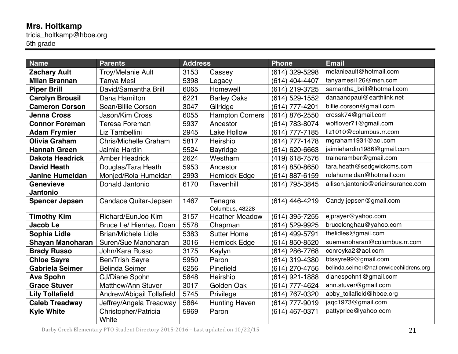# **Mrs. Holtkamp**

tricia\_holtkamp@hboe.org 5th grade

| <b>Name</b>             | <b>Parents</b>               | <b>Address</b> |                        | <b>Phone</b>   | <b>Email</b>                           |
|-------------------------|------------------------------|----------------|------------------------|----------------|----------------------------------------|
| <b>Zachary Ault</b>     | <b>Troy/Melanie Ault</b>     | 3153           | Cassey                 | (614) 329-5298 | melanieault@hotmail.com                |
| <b>Milan Brannan</b>    | <b>Tanya Mesi</b>            | 5398           | Legacy                 | (614) 404-4407 | tanyamesi126@msn.com                   |
| <b>Piper Brill</b>      | David/Samantha Brill         | 6065           | Homewell               | (614) 219-3725 | samantha_brill@hotmail.com             |
| <b>Carolyn Brousil</b>  | Dana Hamilton                | 6221           | <b>Barley Oaks</b>     | (614) 529-1552 | danaandpaul@earthlink.net              |
| <b>Cameron Corson</b>   | Sean/Billie Corson           | 3047           | Gilridge               | (614) 777-4201 | billie.corson@gmail.com                |
| <b>Jenna Cross</b>      | Jason/Kim Cross              | 6055           | <b>Hampton Corners</b> | (614) 876-2550 | crossk74@gmail.com                     |
| <b>Connor Foreman</b>   | <b>Teresa Foreman</b>        | 5937           | Ancestor               | (614) 783-8074 | wolflover71@gmail.com                  |
| <b>Adam Frymier</b>     | Liz Tambellini               | 2945           | <b>Lake Hollow</b>     | (614) 777-7185 | liz1010@columbus.rr.com                |
| Olivia Graham           | <b>Chris/Michelle Graham</b> | 5817           | Heirship               | (614) 777-1478 | mgraham1931@aol.com                    |
| <b>Hannah Green</b>     | Jaimie Hardin                | 5524           | <b>Bayridge</b>        | (614) 620-6663 | jaimiehardin1986@gmail.com             |
| <b>Dakota Headrick</b>  | <b>Amber Headrick</b>        | 2624           | Westham                | (419) 618-7576 | traineramber@gmail.com                 |
| <b>David Heath</b>      | Douglas/Tara Heath           | 5953           | Ancestor               | (614) 850-8650 | tara.heath@sedgwickcms.com             |
| <b>Janine Humeidan</b>  | Monjed/Rola Humeidan         | 2993           | <b>Hemlock Edge</b>    | (614) 887-6159 | rolahumeidan@hotmail.com               |
| <b>Genevieve</b>        | Donald Jantonio              | 6170           | Ravenhill              | (614) 795-3845 | allison.jantonio@erieinsurance.com     |
| <b>Jantonio</b>         |                              |                |                        |                |                                        |
| <b>Spencer Jepsen</b>   | Candace Quitar-Jepsen        | 1467           | Tenagra                | (614) 446-4219 | Candy.jepsen@gmail.com                 |
|                         |                              |                | Columbus, 43228        |                |                                        |
| <b>Timothy Kim</b>      | Richard/EunJoo Kim           | 3157           | <b>Heather Meadow</b>  | (614) 395-7255 | ejprayer@yahoo.com                     |
| Jacob Le                | Bruce Le/ Hienhau Doan       | 5578           | Chapman                | (614) 529-9925 | brucelonghau@yahoo.com                 |
| Sophia Lidle            | <b>Brian/Michele Lidle</b>   | 5383           | <b>Sutter Home</b>     | (614) 499-5791 | thelidles@gmail.com                    |
| <b>Shayan Manoharan</b> | Suren/Sue Manoharan          | 3016           | <b>Hemlock Edge</b>    | (614) 850-8520 | suemanoharan@columbus.rr.com           |
| <b>Brady Russo</b>      | John/Kara Russo              | 3175           | Kaylyn                 | (614) 286-7768 | conroyka2@aol.com                      |
| <b>Chloe Sayre</b>      | <b>Ben/Trish Sayre</b>       | 5950           | Paron                  | (614) 319-4380 | btsayre99@gmail.com                    |
| Gabriela Seimer         | <b>Belinda Seimer</b>        | 6256           | Pinefield              | (614) 270-4756 | belinda.seimer@nationwidechildrens.org |
| <b>Ava Spohn</b>        | CJ/Diane Spohn               | 5848           | Heirship               | (614) 921-1888 | dianespohn1@gmail.com                  |
| <b>Grace Stuver</b>     | Matthew/Ann Stuver           | 3017           | Golden Oak             | (614) 777-4624 | ann.stuver@gmail.com                   |
| <b>Lily Tollafield</b>  | Andrew/Abigail Tollafield    | 5745           | Privilege              | (614) 767-0320 | abby_tollafield@hboe.org               |
| <b>Caleb Treadway</b>   | Jeffrey/Angela Treadway      | 5864           | <b>Hunting Haven</b>   | (614) 777-9019 | jaqc1973@gmail.com                     |
| <b>Kyle White</b>       | Christopher/Patricia         | 5969           | Paron                  | (614) 467-0371 | pattyprice@yahoo.com                   |
|                         | White                        |                |                        |                |                                        |

Darby Creek Elementary PTO Student Directory 2015-2016 – Last updated on 10/22/15 21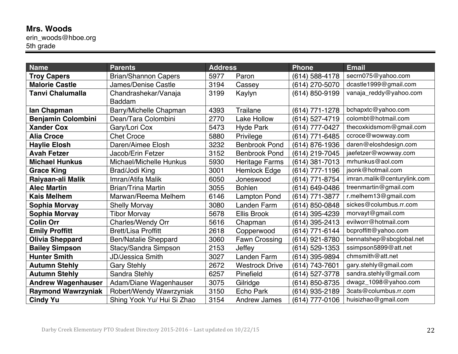## **Mrs. Woods**

erin\_woods@hboe.org 5th grade

| <b>Name</b>               | <b>Parents</b>              | <b>Address</b> |                       | <b>Phone</b>   | <b>Email</b>                |
|---------------------------|-----------------------------|----------------|-----------------------|----------------|-----------------------------|
| <b>Troy Capers</b>        | <b>Brian/Shannon Capers</b> | 5977           | Paron                 | (614) 588-4178 | secrn075@yahoo.com          |
| <b>Malorie Castle</b>     | James/Denise Castle         | 3194           | Cassey                | (614) 270-5070 | dcastle1999@gmail.com       |
| <b>Tanvi Chalumalla</b>   | Chandrashekar/Vanaja        | 3199           | Kaylyn                | (614) 850-9199 | vanaja_reddy@yahoo.com      |
|                           | <b>Baddam</b>               |                |                       |                |                             |
| lan Chapman               | Barry/Michelle Chapman      | 4393           | <b>Trailane</b>       | (614) 771-1278 | bchapxtc@yahoo.com          |
| <b>Benjamin Colombini</b> | Dean/Tara Colombini         | 2770           | <b>Lake Hollow</b>    | (614) 527-4719 | colombt@hotmail.com         |
| <b>Xander Cox</b>         | Gary/Lori Cox               | 5473           | <b>Hyde Park</b>      | (614) 777-0427 | thecoxkidsmom@gmail.com     |
| <b>Alia Croce</b>         | <b>Chet Croce</b>           | 5880           | Privilege             | (614) 771-6485 | ccroce@wowway.com           |
| <b>Haylie Elosh</b>       | Daren/Aimee Elosh           | 3232           | <b>Benbrook Pond</b>  | (614) 876-1936 | daren@eloshdesign.com       |
| <b>Avah Fetzer</b>        | Jacob/Erin Fetzer           | 3152           | <b>Benbrook Pond</b>  | (614) 219-7045 | jaefetzer@wowway.com        |
| <b>Michael Hunkus</b>     | Michael/Michelle Hunkus     | 5930           | <b>Heritage Farms</b> | (614) 381-7013 | mrhunkus@aol.com            |
| <b>Grace King</b>         | Brad/Jodi King              | 3001           | <b>Hemlock Edge</b>   | (614) 777-1196 | jsonk@hotmail.com           |
| Raiyaan-ali Malik         | Imran/Atifa Malik           | 6050           | Joneswood             | (614) 771-8754 | imran.malik@centurylink.com |
| <b>Alec Martin</b>        | <b>Brian/Trina Martin</b>   | 3055           | <b>Bohlen</b>         | (614) 649-0486 | treenmartin@gmail.com       |
| <b>Kais Melhem</b>        | Marwan/Reema Melhem         | 6146           | <b>Lampton Pond</b>   | (614) 771-3877 | r.melhem13@gmail.com        |
| Sophia Morvay             | <b>Shelly Morvay</b>        | 3080           | Landen Farm           | (614) 850-0848 | sickes@columbus.rr.com      |
| Sophia Morvay             | <b>Tibor Morvay</b>         | 5678           | <b>Ellis Brook</b>    | (614) 395-4239 | morvayt@gmail.com           |
| <b>Colin Orr</b>          | <b>Charles/Wendy Orr</b>    | 5616           | Chapman               | (614) 395-2413 | evilworr@hotmail.com        |
| <b>Emily Proffitt</b>     | <b>Brett/Lisa Proffitt</b>  | 2618           | Copperwood            | (614) 771-6144 | bcproffitt@yahoo.com        |
| <b>Olivia Sheppard</b>    | <b>Ben/Natalie Sheppard</b> | 3060           | Fawn Crossing         | (614) 921-8780 | bennatshep@sbcglobal.net    |
| <b>Bailey Simpson</b>     | Stacy/Sandra Simpson        | 2153           | Jeffey                | (614) 529-1353 | ssimpson5899@att.net        |
| <b>Hunter Smith</b>       | <b>JD/Jessica Smith</b>     | 3027           | Landen Farm           | (614) 395-9894 | chmsmith@att.net            |
| <b>Autumn Stehly</b>      | <b>Gary Stehly</b>          | 2672           | <b>Westrock Drive</b> | (614) 743-7601 | gary.stehly@gmail.com       |
| <b>Autumn Stehly</b>      | Sandra Stehly               | 6257           | Pinefield             | (614) 527-3778 | sandra.stehly@gmail.com     |
| <b>Andrew Wagenhauser</b> | Adam/Diane Wagenhauser      | 3075           | Gilridge              | (614) 850-8735 | dwagz_1098@yahoo.com        |
| <b>Raymond Wawrzyniak</b> | Robert/Wendy Wawrzyniak     | 3150           | <b>Echo Park</b>      | (614) 935-2189 | 3cats@columbus.rr.com       |
| <b>Cindy Yu</b>           | Shing Yook Yu/ Hui Si Zhao  | 3154           | <b>Andrew James</b>   | (614) 777-0106 | huisizhao@gmail.com         |